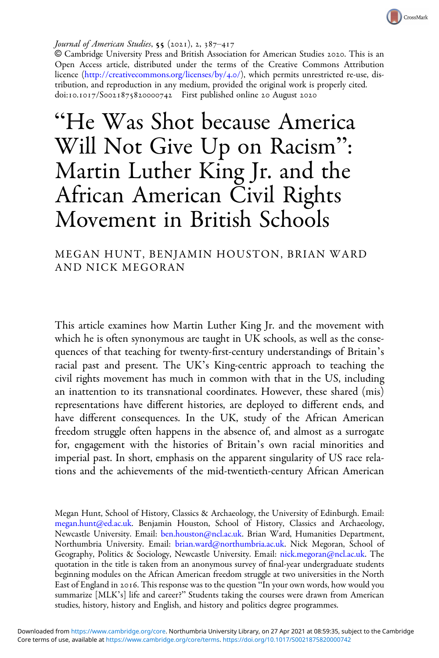

#### Journal of American Studies,  $55$  (2021), 2, 387–417

© Cambridge University Press and British Association for American Studies . This is an Open Access article, distributed under the terms of the Creative Commons Attribution licence ([http://creativecommons.org/licenses/by/](http://creativecommons.org/licenses/by/4.0/)4.0/), which permits unrestricted re-use, distribution, and reproduction in any medium, provided the original work is properly cited. doi:10.1017/S0021875820000742 First published online 20 August 2020

"He Was Shot because America Will Not Give Up on Racism" : Martin Luther King Jr. and the African American Civil Rights Movement in British Schools

MEGAN HUNT, BENJAMIN HOUSTON, BRIAN WARD AND NICK MEGORAN

This article examines how Martin Luther King Jr. and the movement with which he is often synonymous are taught in UK schools, as well as the consequences of that teaching for twenty-first-century understandings of Britain's racial past and present. The UK's King-centric approach to teaching the civil rights movement has much in common with that in the US, including an inattention to its transnational coordinates. However, these shared (mis) representations have different histories, are deployed to different ends, and have different consequences. In the UK, study of the African American freedom struggle often happens in the absence of, and almost as a surrogate for, engagement with the histories of Britain's own racial minorities and imperial past. In short, emphasis on the apparent singularity of US race relations and the achievements of the mid-twentieth-century African American

Megan Hunt, School of History, Classics & Archaeology, the University of Edinburgh. Email: [megan.hunt@ed.ac.uk](mailto:megan.hunt@ed.ac.uk). Benjamin Houston, School of History, Classics and Archaeology, Newcastle University. Email: [ben.houston@ncl.ac.uk](mailto:ben.houston@ncl.ac.uk). Brian Ward, Humanities Department, Northumbria University. Email: [brian.ward@northumbria.ac.uk.](mailto:brian.ward@northumbria.ac.uk) Nick Megoran, School of Geography, Politics & Sociology, Newcastle University. Email: [nick.megoran@ncl.ac.uk.](mailto:nick.megoran@ncl.ac.uk) The quotation in the title is taken from an anonymous survey of final-year undergraduate students beginning modules on the African American freedom struggle at two universities in the North East of England in 2016. This response was to the question "In your own words, how would you summarize [MLK's] life and career?" Students taking the courses were drawn from American studies, history, history and English, and history and politics degree programmes.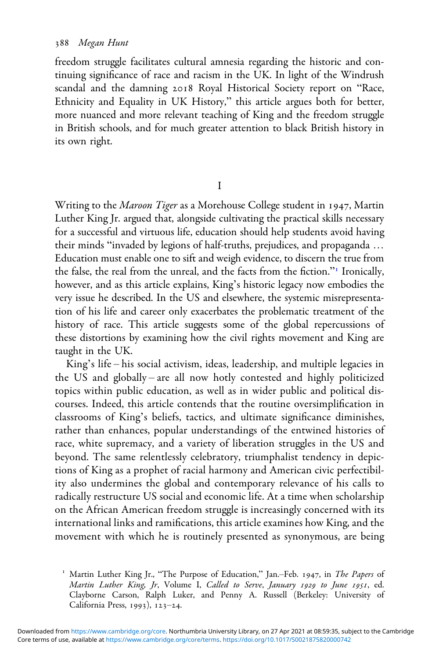freedom struggle facilitates cultural amnesia regarding the historic and continuing significance of race and racism in the UK. In light of the Windrush scandal and the damning 2018 Royal Historical Society report on "Race, Ethnicity and Equality in UK History," this article argues both for better, more nuanced and more relevant teaching of King and the freedom struggle in British schools, and for much greater attention to black British history in its own right.

I

Writing to the Maroon Tiger as a Morehouse College student in 1947, Martin Luther King Jr. argued that, alongside cultivating the practical skills necessary for a successful and virtuous life, education should help students avoid having their minds "invaded by legions of half-truths, prejudices, and propaganda … Education must enable one to sift and weigh evidence, to discern the true from the false, the real from the unreal, and the facts from the fiction." Ironically, however, and as this article explains, King's historic legacy now embodies the very issue he described. In the US and elsewhere, the systemic misrepresentation of his life and career only exacerbates the problematic treatment of the history of race. This article suggests some of the global repercussions of these distortions by examining how the civil rights movement and King are taught in the UK.

King's life – his social activism, ideas, leadership, and multiple legacies in the US and globally – are all now hotly contested and highly politicized topics within public education, as well as in wider public and political discourses. Indeed, this article contends that the routine oversimplification in classrooms of King's beliefs, tactics, and ultimate significance diminishes, rather than enhances, popular understandings of the entwined histories of race, white supremacy, and a variety of liberation struggles in the US and beyond. The same relentlessly celebratory, triumphalist tendency in depictions of King as a prophet of racial harmony and American civic perfectibility also undermines the global and contemporary relevance of his calls to radically restructure US social and economic life. At a time when scholarship on the African American freedom struggle is increasingly concerned with its international links and ramifications, this article examines how King, and the movement with which he is routinely presented as synonymous, are being

<sup>&</sup>lt;sup>1</sup> Martin Luther King Jr., "The Purpose of Education," Jan.-Feb. 1947, in The Papers of Martin Luther King, Jr, Volume I, Called to Serve, January 1929 to June 1951, ed. Clayborne Carson, Ralph Luker, and Penny A. Russell (Berkeley: University of California Press,  $1993$ ),  $123-24$ .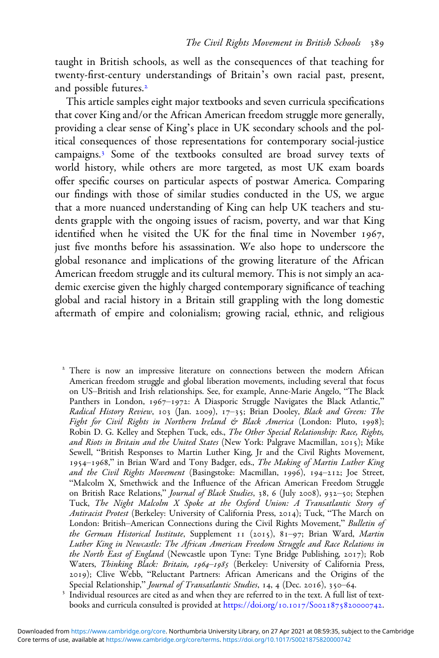taught in British schools, as well as the consequences of that teaching for twenty-first-century understandings of Britain's own racial past, present, and possible futures.

This article samples eight major textbooks and seven curricula specifications that cover King and/or the African American freedom struggle more generally, providing a clear sense of King's place in UK secondary schools and the political consequences of those representations for contemporary social-justice campaigns.<sup>3</sup> Some of the textbooks consulted are broad survey texts of world history, while others are more targeted, as most UK exam boards offer specific courses on particular aspects of postwar America. Comparing our findings with those of similar studies conducted in the US, we argue that a more nuanced understanding of King can help UK teachers and students grapple with the ongoing issues of racism, poverty, and war that King identified when he visited the UK for the final time in November 1967, just five months before his assassination. We also hope to underscore the global resonance and implications of the growing literature of the African American freedom struggle and its cultural memory. This is not simply an academic exercise given the highly charged contemporary significance of teaching global and racial history in a Britain still grappling with the long domestic aftermath of empire and colonialism; growing racial, ethnic, and religious

<sup>2</sup> There is now an impressive literature on connections between the modern African American freedom struggle and global liberation movements, including several that focus on US–British and Irish relationships. See, for example, Anne-Marie Angelo, "The Black Panthers in London, 1967-1972: A Diasporic Struggle Navigates the Black Atlantic," Radical History Review, 103 (Jan. 2009), 17–35; Brian Dooley, Black and Green: The Fight for Civil Rights in Northern Ireland & Black America (London: Pluto, 1998); Robin D. G. Kelley and Stephen Tuck, eds., The Other Special Relationship: Race, Rights, and Riots in Britain and the United States (New York: Palgrave Macmillan, 2015); Mike Sewell, "British Responses to Martin Luther King, Jr and the Civil Rights Movement, 1954-1968," in Brian Ward and Tony Badger, eds., The Making of Martin Luther King and the Civil Rights Movement (Basingstoke: Macmillan, 1996), 194-212; Joe Street, "Malcolm X, Smethwick and the Influence of the African American Freedom Struggle on British Race Relations," Journal of Black Studies, 38, 6 (July 2008), 932-50; Stephen Tuck, The Night Malcolm X Spoke at the Oxford Union: A Transatlantic Story of Antiracist Protest (Berkeley: University of California Press, 2014); Tuck, "The March on London: British–American Connections during the Civil Rights Movement," Bulletin of the German Historical Institute, Supplement  $I_1$  (2015), 81-97; Brian Ward, Martin Luther King in Newcastle: The African American Freedom Struggle and Race Relations in the North East of England (Newcastle upon Tyne: Tyne Bridge Publishing,  $2017$ ); Rob Waters, Thinking Black: Britain, 1964-1985 (Berkeley: University of California Press, 2019); Clive Webb, "Reluctant Partners: African Americans and the Origins of the Special Relationship," *Journal of Transatlantic Studies*, 14, 4 (Dec. 2016), 350–64.

<sup>3</sup> Individual resources are cited as and when they are referred to in the text. A full list of textbooks and curricula consulted is provided at https://doi.org/10.1017/S0021875820000742.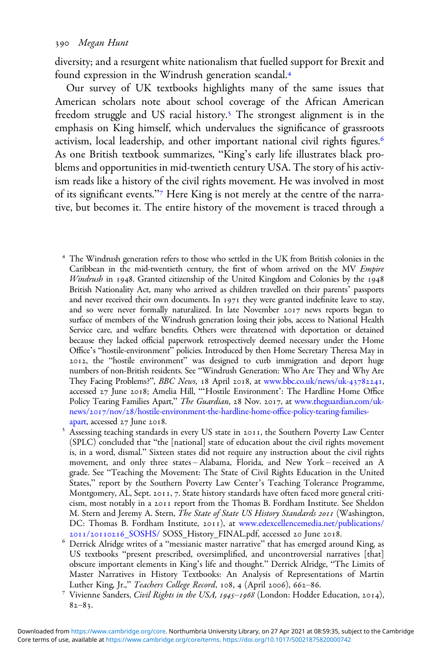diversity; and a resurgent white nationalism that fuelled support for Brexit and found expression in the Windrush generation scandal.

Our survey of UK textbooks highlights many of the same issues that American scholars note about school coverage of the African American freedom struggle and US racial history.<sup>5</sup> The strongest alignment is in the emphasis on King himself, which undervalues the significance of grassroots activism, local leadership, and other important national civil rights figures. As one British textbook summarizes, "King's early life illustrates black problems and opportunities in mid-twentieth century USA. The story of his activism reads like a history of the civil rights movement. He was involved in most of its significant events."<sup>7</sup> Here King is not merely at the centre of the narrative, but becomes it. The entire history of the movement is traced through a

- The Windrush generation refers to those who settled in the UK from British colonies in the Caribbean in the mid-twentieth century, the first of whom arrived on the MV Empire Windrush in 1948. Granted citizenship of the United Kingdom and Colonies by the 1948 British Nationality Act, many who arrived as children travelled on their parents' passports and never received their own documents. In 1971 they were granted indefinite leave to stay, and so were never formally naturalized. In late November 2017 news reports began to surface of members of the Windrush generation losing their jobs, access to National Health Service care, and welfare benefits. Others were threatened with deportation or detained because they lacked official paperwork retrospectively deemed necessary under the Home Office's "hostile-environment" policies. Introduced by then Home Secretary Theresa May in , the "hostile environment" was designed to curb immigration and deport huge numbers of non-British residents. See "Windrush Generation: Who Are They and Why Are They Facing Problems?", BBC News, 18 April 2018, at [www.bbc.co.uk/news/uk-](https://www.bbc.co.uk/news/uk-43782241)43782241, accessed 27 June 2018; Amelia Hill, "'Hostile Environment': The Hardline Home Office Policy Tearing Families Apart," The Guardian, 28 Nov. 2017, at [www.theguardian.com/uk-](https://www.theguardian.com/uk-news/2017/nov/28/hostile-environment-the-hardline-home-office-policy-tearing-families-apart)news/2017/nov/28[/hostile-environment-the-hardline-home-o](https://www.theguardian.com/uk-news/2017/nov/28/hostile-environment-the-hardline-home-office-policy-tearing-families-apart)ffice-policy-tearing-families-
- [apart,](https://www.theguardian.com/uk-news/2017/nov/28/hostile-environment-the-hardline-home-office-policy-tearing-families-apart) accessed 27 June 2018.<br>Sessing teaching standards in every US state in 2011, the Southern Poverty Law Center (SPLC) concluded that "the [national] state of education about the civil rights movement is, in a word, dismal." Sixteen states did not require any instruction about the civil rights movement, and only three states – Alabama, Florida, and New York – received an A grade. See "Teaching the Movement: The State of Civil Rights Education in the United States," report by the Southern Poverty Law Center's Teaching Tolerance Programme, Montgomery, AL, Sept. 2011, 7. State history standards have often faced more general criticism, most notably in a 2011 report from the Thomas B. Fordham Institute. See Sheldon M. Stern and Jeremy A. Stern, The State of State US History Standards 2011 (Washington, DC: Thomas B. Fordham Institute, 2011), at [www.edexcellencemedia.net/publications/](https://www.edexcellencemedia.net/publications/2011/20110216_SOSHS/)<br>2011/20110216\_SOSHS/ SOSS\_History\_FINAL.pdf, accessed 20 June 2018.
- Derrick Alridge writes of a "messianic master narrative" that has emerged around King, as US textbooks "present prescribed, oversimplified, and uncontroversial narratives [that] obscure important elements in King's life and thought." Derrick Alridge, "The Limits of Master Narratives in History Textbooks: An Analysis of Representations of Martin Luther King, Jr.," *Teachers College Record*, 108, 4 (April 2006), 662–86.<br><sup>7</sup> Vivienne Sanders, *Civil Rights in the USA, 1945–1968* (London: Hodder Education, 2014),
- $82 83.$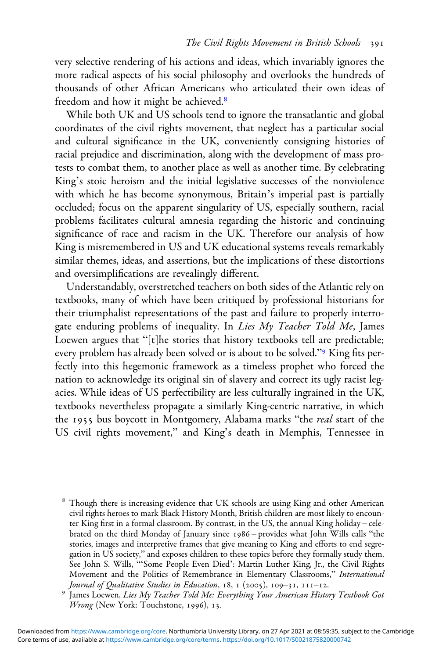very selective rendering of his actions and ideas, which invariably ignores the more radical aspects of his social philosophy and overlooks the hundreds of thousands of other African Americans who articulated their own ideas of freedom and how it might be achieved.

While both UK and US schools tend to ignore the transatlantic and global coordinates of the civil rights movement, that neglect has a particular social and cultural significance in the UK, conveniently consigning histories of racial prejudice and discrimination, along with the development of mass protests to combat them, to another place as well as another time. By celebrating King's stoic heroism and the initial legislative successes of the nonviolence with which he has become synonymous, Britain's imperial past is partially occluded; focus on the apparent singularity of US, especially southern, racial problems facilitates cultural amnesia regarding the historic and continuing significance of race and racism in the UK. Therefore our analysis of how King is misremembered in US and UK educational systems reveals remarkably similar themes, ideas, and assertions, but the implications of these distortions and oversimplifications are revealingly different.

Understandably, overstretched teachers on both sides of the Atlantic rely on textbooks, many of which have been critiqued by professional historians for their triumphalist representations of the past and failure to properly interrogate enduring problems of inequality. In Lies My Teacher Told Me, James Loewen argues that "[t]he stories that history textbooks tell are predictable; every problem has already been solved or is about to be solved."<sup>9</sup> King fits perfectly into this hegemonic framework as a timeless prophet who forced the nation to acknowledge its original sin of slavery and correct its ugly racist legacies. While ideas of US perfectibility are less culturally ingrained in the UK, textbooks nevertheless propagate a similarly King-centric narrative, in which the 1955 bus boycott in Montgomery, Alabama marks "the *real* start of the US civil rights movement," and King's death in Memphis, Tennessee in

Though there is increasing evidence that UK schools are using King and other American civil rights heroes to mark Black History Month, British children are most likely to encounter King first in a formal classroom. By contrast, in the US, the annual King holiday – celebrated on the third Monday of January since 1986 - provides what John Wills calls "the stories, images and interpretive frames that give meaning to King and efforts to end segregation in US society," and exposes children to these topics before they formally study them. See John S. Wills, "'Some People Even Died': Martin Luther King, Jr., the Civil Rights Movement and the Politics of Remembrance in Elementary Classrooms," International Journal of Qualitative Studies in Education, 18, 1 (2005), 109–31, 111–12.

<sup>&</sup>lt;sup>9</sup> James Loewen, Lies My Teacher Told Me: Everything Your American History Textbook Got Wrong (New York: Touchstone, 1996), 13.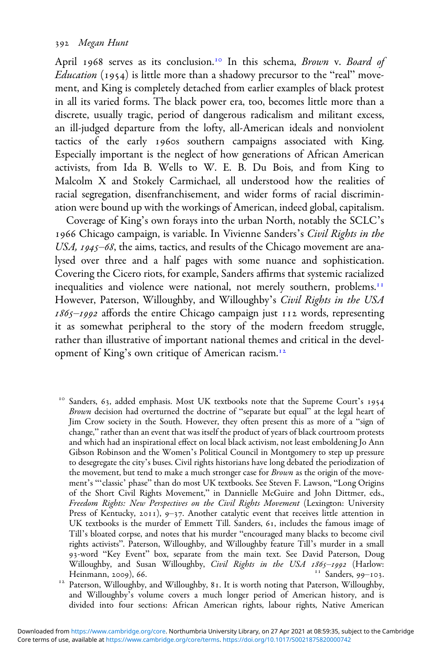April 1968 serves as its conclusion.<sup>10</sup> In this schema, Brown v. Board of *Education* (1954) is little more than a shadowy precursor to the "real" movement, and King is completely detached from earlier examples of black protest in all its varied forms. The black power era, too, becomes little more than a discrete, usually tragic, period of dangerous radicalism and militant excess, an ill-judged departure from the lofty, all-American ideals and nonviolent tactics of the early 1960s southern campaigns associated with King. Especially important is the neglect of how generations of African American activists, from Ida B. Wells to W. E. B. Du Bois, and from King to Malcolm X and Stokely Carmichael, all understood how the realities of racial segregation, disenfranchisement, and wider forms of racial discrimination were bound up with the workings of American, indeed global, capitalism.

Coverage of King's own forays into the urban North, notably the SCLC's 1966 Chicago campaign, is variable. In Vivienne Sanders's Civil Rights in the USA,  $1945 - 68$ , the aims, tactics, and results of the Chicago movement are analysed over three and a half pages with some nuance and sophistication. Covering the Cicero riots, for example, Sanders affirms that systemic racialized inequalities and violence were national, not merely southern, problems.<sup>11</sup> However, Paterson, Willoughby, and Willoughby's Civil Rights in the USA  $1865 - 1992$  affords the entire Chicago campaign just  $112$  words, representing it as somewhat peripheral to the story of the modern freedom struggle, rather than illustrative of important national themes and critical in the development of King's own critique of American racism.

Sanders, 63, added emphasis. Most UK textbooks note that the Supreme Court's 1954 Brown decision had overturned the doctrine of "separate but equal" at the legal heart of Jim Crow society in the South. However, they often present this as more of a "sign of change," rather than an event that was itself the product of years of black courtroom protests and which had an inspirational effect on local black activism, not least emboldening Jo Ann Gibson Robinson and the Women's Political Council in Montgomery to step up pressure to desegregate the city's buses. Civil rights historians have long debated the periodization of the movement, but tend to make a much stronger case for *Brown* as the origin of the movement's "'classic' phase" than do most UK textbooks. See Steven F. Lawson, "Long Origins of the Short Civil Rights Movement," in Dannielle McGuire and John Dittmer, eds., Freedom Rights: New Perspectives on the Civil Rights Movement (Lexington: University Press of Kentucky, 2011), 9-37. Another catalytic event that receives little attention in UK textbooks is the murder of Emmett Till. Sanders, 61, includes the famous image of Till's bloated corpse, and notes that his murder "encouraged many blacks to become civil rights activists". Paterson, Willoughby, and Willoughby feature Till's murder in a small 93-word "Key Event" box, separate from the main text. See David Paterson, Doug Willoughby, and Susan Willoughby, *Civil Rights in the USA 1865–1992* (Harlow: Heinmann, 2009), 66. Heinmann, ), . Sanders, –. Paterson, Willoughby, and Willoughby, . It is worth noting that Paterson, Willoughby,

and Willoughby's volume covers a much longer period of American history, and is divided into four sections: African American rights, labour rights, Native American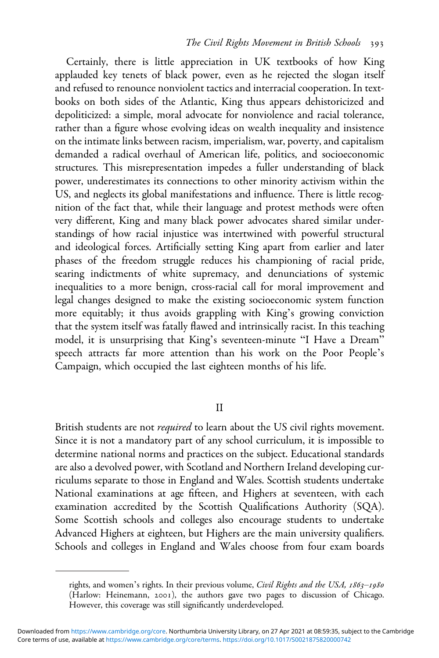Certainly, there is little appreciation in UK textbooks of how King applauded key tenets of black power, even as he rejected the slogan itself and refused to renounce nonviolent tactics and interracial cooperation. In textbooks on both sides of the Atlantic, King thus appears dehistoricized and depoliticized: a simple, moral advocate for nonviolence and racial tolerance, rather than a figure whose evolving ideas on wealth inequality and insistence on the intimate links between racism, imperialism, war, poverty, and capitalism demanded a radical overhaul of American life, politics, and socioeconomic structures. This misrepresentation impedes a fuller understanding of black power, underestimates its connections to other minority activism within the US, and neglects its global manifestations and influence. There is little recognition of the fact that, while their language and protest methods were often very different, King and many black power advocates shared similar understandings of how racial injustice was intertwined with powerful structural and ideological forces. Artificially setting King apart from earlier and later phases of the freedom struggle reduces his championing of racial pride, searing indictments of white supremacy, and denunciations of systemic inequalities to a more benign, cross-racial call for moral improvement and legal changes designed to make the existing socioeconomic system function more equitably; it thus avoids grappling with King's growing conviction that the system itself was fatally flawed and intrinsically racist. In this teaching model, it is unsurprising that King's seventeen-minute "I Have a Dream" speech attracts far more attention than his work on the Poor People's Campaign, which occupied the last eighteen months of his life.

II

British students are not *required* to learn about the US civil rights movement. Since it is not a mandatory part of any school curriculum, it is impossible to determine national norms and practices on the subject. Educational standards are also a devolved power, with Scotland and Northern Ireland developing curriculums separate to those in England and Wales. Scottish students undertake National examinations at age fifteen, and Highers at seventeen, with each examination accredited by the Scottish Qualifications Authority (SQA). Some Scottish schools and colleges also encourage students to undertake Advanced Highers at eighteen, but Highers are the main university qualifiers. Schools and colleges in England and Wales choose from four exam boards

rights, and women's rights. In their previous volume, Civil Rights and the USA, 1863-1980 (Harlow: Heinemann, 2001), the authors gave two pages to discussion of Chicago. However, this coverage was still significantly underdeveloped.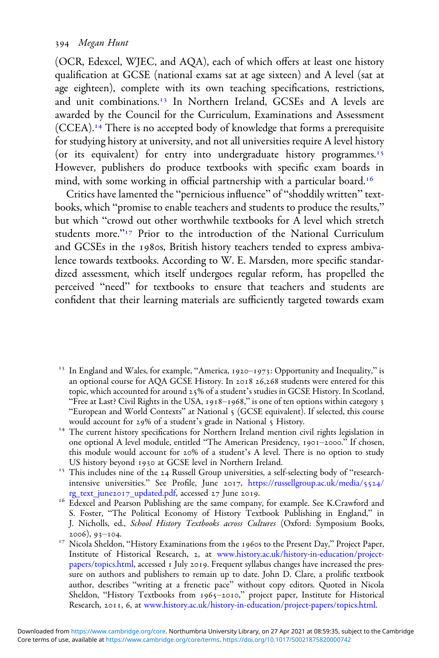### Megan Hunt

(OCR, Edexcel, WJEC, and AQA), each of which offers at least one history qualification at GCSE (national exams sat at age sixteen) and A level (sat at age eighteen), complete with its own teaching specifications, restrictions, and unit combinations.<sup>13</sup> In Northern Ireland, GCSEs and A levels are awarded by the Council for the Curriculum, Examinations and Assessment (CCEA). There is no accepted body of knowledge that forms a prerequisite for studying history at university, and not all universities require A level history (or its equivalent) for entry into undergraduate history programmes.<sup>15</sup> However, publishers do produce textbooks with specific exam boards in mind, with some working in official partnership with a particular board.<sup>16</sup>

Critics have lamented the "pernicious influence" of "shoddily written" textbooks, which "promise to enable teachers and students to produce the results," but which "crowd out other worthwhile textbooks for A level which stretch students more."<sup>17</sup> Prior to the introduction of the National Curriculum and GCSEs in the 1980s, British history teachers tended to express ambivalence towards textbooks. According to W. E. Marsden, more specific standardized assessment, which itself undergoes regular reform, has propelled the perceived "need" for textbooks to ensure that teachers and students are confident that their learning materials are sufficiently targeted towards exam

- <sup>13</sup> In England and Wales, for example, "America, 1920-1973: Opportunity and Inequality," is an optional course for AQA GCSE History. In 2018 26,268 students were entered for this topic, which accounted for around 25% of a student's studies in GCSE History. In Scotland, "Free at Last? Civil Rights in the USA, 1918-1968," is one of ten options within category 3 "European and World Contexts" at National (GCSE equivalent). If selected, this course
- $14$  The current history specifications for Northern Ireland mention civil rights legislation in one optional A level module, entitled "The American Presidency, 1901-2000." If chosen, this module would account for 20% of a student's A level. There is no option to study US history beyond 1930 at GCSE level in Northern Ireland.<br><sup>15</sup> This includes nine of the 24 Russell Group universities, a self-selecting body of "research-
- intensive universities." See Profile, June 2017, [https://russellgroup.ac.uk/media/](https://russellgroup.ac.uk/media/5524/rg_text_june2017_updated.pdf)5524/ rg\_text\_june2017[\\_updated.pdf,](https://russellgroup.ac.uk/media/5524/rg_text_june2017_updated.pdf) accessed 27 June 2019.<br><sup>16</sup> Edexcel and Pearson Publishing are the same company, for example. See K.Crawford and
- S. Foster, "The Political Economy of History Textbook Publishing in England," in J. Nicholls, ed., *School History Textbooks across Cultures* (Oxford: Symposium Books, 2006), 93-104.
- <sup>17</sup> Nicola Sheldon, "History Examinations from the 1960s to the Present Day," Project Paper, Institute of Historical Research, 2, at [www.history.ac.uk/history-in-education/project](https://www.history.ac.uk/history-in-education/project-papers/topics.html)[papers/topics.html](https://www.history.ac.uk/history-in-education/project-papers/topics.html), accessed 1 July 2019. Frequent syllabus changes have increased the pressure on authors and publishers to remain up to date. John D. Clare, a prolific textbook author, describes "writing at a frenetic pace" without copy editors. Quoted in Nicola Sheldon, "History Textbooks from 1965-2010," project paper, Institute for Historical Research, 2011, 6, at [www.history.ac.uk/history-in-education/project-papers/topics.html.](https://www.history.ac.uk/history-in-education/project-papers/topics.html)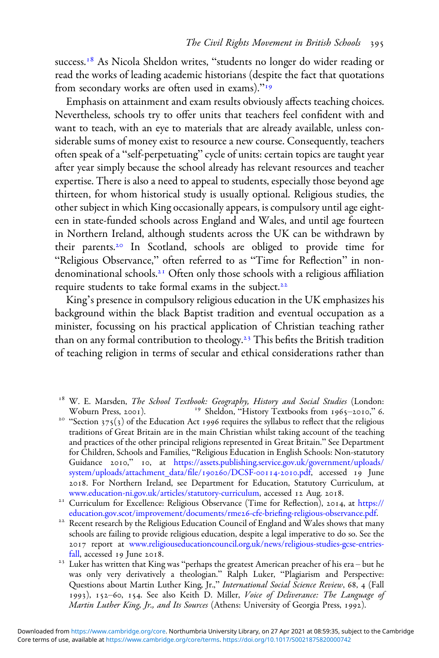success.<sup>18</sup> As Nicola Sheldon writes, "students no longer do wider reading or read the works of leading academic historians (despite the fact that quotations from secondary works are often used in exams)."<sup>19</sup>

Emphasis on attainment and exam results obviously affects teaching choices. Nevertheless, schools try to offer units that teachers feel confident with and want to teach, with an eye to materials that are already available, unless considerable sums of money exist to resource a new course. Consequently, teachers often speak of a "self-perpetuating" cycle of units: certain topics are taught year after year simply because the school already has relevant resources and teacher expertise. There is also a need to appeal to students, especially those beyond age thirteen, for whom historical study is usually optional. Religious studies, the other subject in which King occasionally appears, is compulsory until age eighteen in state-funded schools across England and Wales, and until age fourteen in Northern Ireland, although students across the UK can be withdrawn by their parents.<sup>20</sup> In Scotland, schools are obliged to provide time for "Religious Observance," often referred to as "Time for Reflection" in nondenominational schools.<sup>21</sup> Often only those schools with a religious affiliation require students to take formal exams in the subject.

King's presence in compulsory religious education in the UK emphasizes his background within the black Baptist tradition and eventual occupation as a minister, focussing on his practical application of Christian teaching rather than on any formal contribution to theology.<sup>23</sup> This befits the British tradition of teaching religion in terms of secular and ethical considerations rather than

<sup>20</sup> "Section 375(3) of the Education Act 1996 requires the syllabus to reflect that the religious traditions of Great Britain are in the main Christian whilst taking account of the teaching and practices of the other principal religions represented in Great Britain." See Department for Children, Schools and Families, "Religious Education in English Schools: Non-statutory Guidance 2010," 10, at [https://assets.publishing.service.gov.uk/government/uploads/](https://assets.publishing.service.gov.uk/government/uploads/system/uploads/attachment_data/file/190260/DCSF-00114-2010.pdf) [system/uploads/attachment\\_data/](https://assets.publishing.service.gov.uk/government/uploads/system/uploads/attachment_data/file/190260/DCSF-00114-2010.pdf)file/190260/DCSF-00114-2010.pdf, accessed 19 June . For Northern Ireland, see Department for Education, Statutory Curriculum, at

[www.education-ni.gov.uk/articles/statutory-curriculum](https://www.education-ni.gov.uk/articles/statutory-curriculum), accessed 12 Aug. 2018.<br><sup>21</sup> Curriculum for Excellence: Religious Observance (Time for Reflection), 2014, at [https://](https://education.gov.scot/improvement/documents/rme26-cfe-briefing-religious-observance.pdf)<br>education.gov.scot/improvement/documents/rme26-cfe

<sup>22</sup> Recent research by the Religious Education Council of England and Wales shows that many schools are failing to provide religious education, despite a legal imperative to do so. See the report at [www.religiouseducationcouncil.org.uk/news/religious-studies-gcse-entries-](https://www.religiouseducationcouncil.org.uk/news/religious-studies-gcse-entries-fall)

[fall](https://www.religiouseducationcouncil.org.uk/news/religious-studies-gcse-entries-fall), accessed 19 June 2018.<br><sup>23</sup> Luker has written that King was "perhaps the greatest American preacher of his era – but he was only very derivatively a theologian." Ralph Luker, "Plagiarism and Perspective: Questions about Martin Luther King, Jr.," International Social Science Review, 68, 4 (Fall 1993), 152-60, 154. See also Keith D. Miller, Voice of Deliverance: The Language of Martin Luther King, Jr., and Its Sources (Athens: University of Georgia Press, 1992).

<sup>&</sup>lt;sup>18</sup> W. E. Marsden, *The School Textbook: Geography, History and Social Studies* (London: Woburn Press, 2001). <sup>19</sup> Sheldon, "History Textbooks from 1965–2010," 6.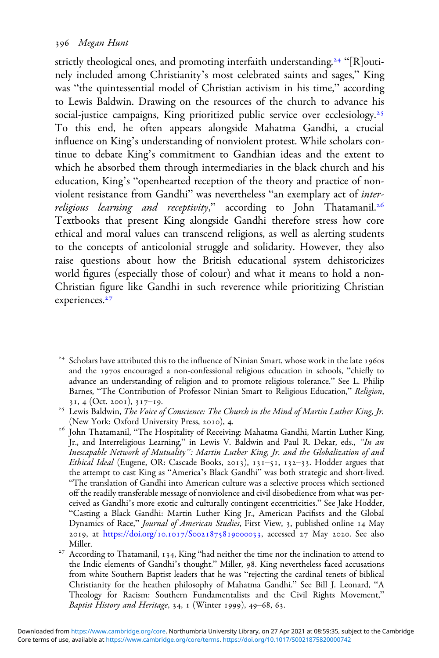strictly theological ones, and promoting interfaith understanding.<sup>24</sup> "[R]outinely included among Christianity's most celebrated saints and sages," King was "the quintessential model of Christian activism in his time," according to Lewis Baldwin. Drawing on the resources of the church to advance his social-justice campaigns, King prioritized public service over ecclesiology.<sup>25</sup> To this end, he often appears alongside Mahatma Gandhi, a crucial influence on King's understanding of nonviolent protest. While scholars continue to debate King's commitment to Gandhian ideas and the extent to which he absorbed them through intermediaries in the black church and his education, King's "openhearted reception of the theory and practice of nonviolent resistance from Gandhi" was nevertheless "an exemplary act of interreligious learning and receptivity," according to John Thatamanil.<sup>26</sup> Textbooks that present King alongside Gandhi therefore stress how core ethical and moral values can transcend religions, as well as alerting students to the concepts of anticolonial struggle and solidarity. However, they also raise questions about how the British educational system dehistoricizes world figures (especially those of colour) and what it means to hold a non-Christian figure like Gandhi in such reverence while prioritizing Christian experiences.<sup>27</sup>

 $24$  Scholars have attributed this to the influence of Ninian Smart, whose work in the late 1960s and the 1970s encouraged a non-confessional religious education in schools, "chiefly to advance an understanding of religion and to promote religious tolerance." See L. Philip Barnes, "The Contribution of Professor Ninian Smart to Religious Education," Religion,

<sup>31, 4 (</sup>Oct. 2001), 317–19.<br><sup>25</sup> Lewis Baldwin, *The Voice of Conscience: The Church in the Mind of Martin Luther King, Jr.*<br>(New York: Oxford University Press, 2010), 4.

 $^{26}$ John Thatamanil, "The Hospitality of Receiving: Mahatma Gandhi, Martin Luther King, Jr., and Interreligious Learning," in Lewis V. Baldwin and Paul R. Dekar, eds., "In an Inescapable Network of Mutuality": Martin Luther King, Jr. and the Globalization of and Ethical Ideal (Eugene, OR: Cascade Books, 2013), 131-51, 132-33. Hodder argues that the attempt to cast King as "America's Black Gandhi" was both strategic and short-lived. "The translation of Gandhi into American culture was a selective process which sectioned off the readily transferable message of nonviolence and civil disobedience from what was perceived as Gandhi's more exotic and culturally contingent eccentricities." See Jake Hodder, "Casting a Black Gandhi: Martin Luther King Jr., American Pacifists and the Global Dynamics of Race," Journal of American Studies, First View, 3, published online 14 May 2019, at [https:/](https://doi.org/10.1017/S0021875819000033)/doi.org/10.1017/S0021875819000033, accessed 27 May 2020. See also

Miller. Miller. Miller. Thatamanil, 134, King "had neither the time nor the inclination to attend to  $^{27}$ the Indic elements of Gandhi's thought." Miller, 98. King nevertheless faced accusations from white Southern Baptist leaders that he was "rejecting the cardinal tenets of biblical Christianity for the heathen philosophy of Mahatma Gandhi." See Bill J. Leonard, "A Theology for Racism: Southern Fundamentalists and the Civil Rights Movement," Baptist History and Heritage, 34,  $\scriptstyle{1}$  (Winter 1999), 49–68, 63.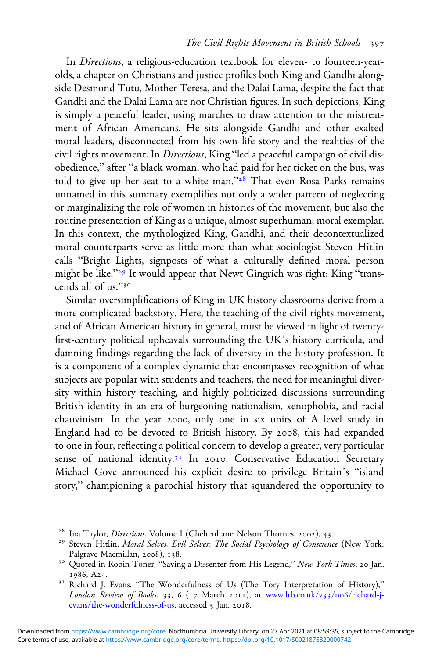In Directions, a religious-education textbook for eleven- to fourteen-yearolds, a chapter on Christians and justice profiles both King and Gandhi alongside Desmond Tutu, Mother Teresa, and the Dalai Lama, despite the fact that Gandhi and the Dalai Lama are not Christian figures. In such depictions, King is simply a peaceful leader, using marches to draw attention to the mistreatment of African Americans. He sits alongside Gandhi and other exalted moral leaders, disconnected from his own life story and the realities of the civil rights movement. In *Directions*, King "led a peaceful campaign of civil disobedience," after "a black woman, who had paid for her ticket on the bus, was told to give up her seat to a white man." $28$  That even Rosa Parks remains unnamed in this summary exemplifies not only a wider pattern of neglecting or marginalizing the role of women in histories of the movement, but also the routine presentation of King as a unique, almost superhuman, moral exemplar. In this context, the mythologized King, Gandhi, and their decontextualized moral counterparts serve as little more than what sociologist Steven Hitlin calls "Bright Lights, signposts of what a culturally defined moral person might be like."<sup>29</sup> It would appear that Newt Gingrich was right: King "transcends all of us."

Similar oversimplifications of King in UK history classrooms derive from a more complicated backstory. Here, the teaching of the civil rights movement, and of African American history in general, must be viewed in light of twentyfirst-century political upheavals surrounding the UK's history curricula, and damning findings regarding the lack of diversity in the history profession. It is a component of a complex dynamic that encompasses recognition of what subjects are popular with students and teachers, the need for meaningful diversity within history teaching, and highly politicized discussions surrounding British identity in an era of burgeoning nationalism, xenophobia, and racial chauvinism. In the year 2000, only one in six units of A level study in England had to be devoted to British history. By 2008, this had expanded to one in four, reflecting a political concern to develop a greater, very particular sense of national identity.<sup>31</sup> In 2010, Conservative Education Secretary Michael Gove announced his explicit desire to privilege Britain's "island story," championing a parochial history that squandered the opportunity to

<sup>&</sup>lt;sup>28</sup> Ina Taylor, *Directions*, Volume I (Cheltenham: Nelson Thornes, 2002), 43.<br><sup>29</sup> Steven Hitlin, *Moral Selves, Evil Selves: The Social Psychology of Conscience* (New York: Palgrave Macmillan, 2008), 138.<br><sup>30</sup> Quoted in Robin Toner, "Saving a Dissenter from His Legend," *New York Times*, 20 Jan.

 $1986$ , A24.<br><sup>31</sup> Richard J. Evans, "The Wonderfulness of Us (The Tory Interpretation of History),"

London Review of Books, 33, 6 (17 March 2011), at [www.lrb.co.uk/v](https://www.lrb.co.uk/v33/n06/richard-j-evans/the-wonderfulness-of-us)33/no6/richard-j[evans/the-wonderfulness-of-us](https://www.lrb.co.uk/v33/n06/richard-j-evans/the-wonderfulness-of-us), accessed 5 Jan. 2018.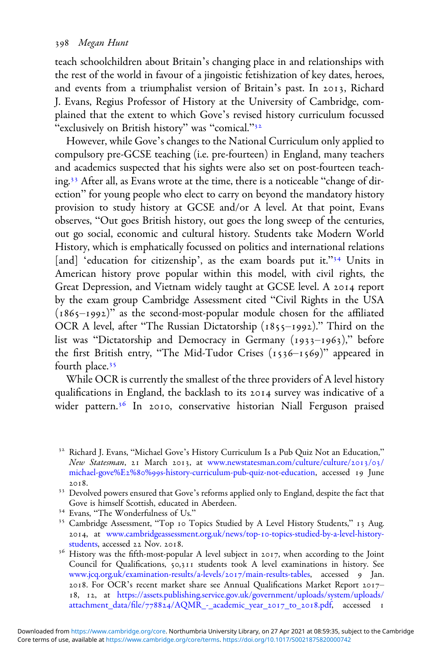teach schoolchildren about Britain's changing place in and relationships with the rest of the world in favour of a jingoistic fetishization of key dates, heroes, and events from a triumphalist version of Britain's past. In 2013, Richard J. Evans, Regius Professor of History at the University of Cambridge, complained that the extent to which Gove's revised history curriculum focussed "exclusively on British history" was "comical."<sup>32</sup>

However, while Gove's changes to the National Curriculum only applied to compulsory pre-GCSE teaching (i.e. pre-fourteen) in England, many teachers and academics suspected that his sights were also set on post-fourteen teaching.<sup>33</sup> After all, as Evans wrote at the time, there is a noticeable "change of direction" for young people who elect to carry on beyond the mandatory history provision to study history at GCSE and/or A level. At that point, Evans observes, "Out goes British history, out goes the long sweep of the centuries, out go social, economic and cultural history. Students take Modern World History, which is emphatically focussed on politics and international relations [and] 'education for citizenship', as the exam boards put it."<sup>34</sup> Units in American history prove popular within this model, with civil rights, the Great Depression, and Vietnam widely taught at GCSE level. A 2014 report by the exam group Cambridge Assessment cited "Civil Rights in the USA  $(1865-1992)$ " as the second-most-popular module chosen for the affiliated OCR A level, after "The Russian Dictatorship  $(1855-1992)$ ." Third on the list was "Dictatorship and Democracy in Germany  $(1933-1963)$ ," before the first British entry, "The Mid-Tudor Crises  $(1536 - 1569)$ " appeared in fourth place.

While OCR is currently the smallest of the three providers of A level history qualifications in England, the backlash to its 2014 survey was indicative of a wider pattern.<sup>36</sup> In 2010, conservative historian Niall Ferguson praised

<sup>&</sup>lt;sup>32</sup> Richard J. Evans, "Michael Gove's History Curriculum Is a Pub Quiz Not an Education," New Statesman, 21 March 2013, at [www.newstatesman.com/culture/culture/](https://www.newstatesman.com/culture/culture/2013/03/michael-gove%E2%80%99s-history-curriculum-pub-quiz-not-education)2013/03/ michael-gove%E2%80%99[s-history-curriculum-pub-quiz-not-education](https://www.newstatesman.com/culture/culture/2013/03/michael-gove%E2%80%99s-history-curriculum-pub-quiz-not-education), accessed 19 June

<sup>2018.&</sup>lt;br><sup>33</sup> Devolved powers ensured that Gove's reforms applied only to England, despite the fact that<br>Gove is himself Scottish, educated in Aberdeen.

<sup>&</sup>lt;sup>34</sup> Evans, "The Wonderfulness of Us."<br><sup>35</sup> Cambridge Assessment, "Top 10 Topics Studied by A Level History Students," 13 Aug. 2014, at [www.cambridgeassessment.org.uk/news/top-](https://www.cambridgeassessment.org.uk/news/top-10-topics-studied-by-a-level-history-students)10-topics-studied-by-a-level-history-<br>students, accessed 22 Nov. 2018.

<sup>&</sup>lt;sup>36</sup> History was the fifth-most-popular A level subject in 2017, when according to the Joint Council for Qualifications, 50,311 students took A level examinations in history. See [www.jcq.org.uk/examination-results/a-levels/](https://www.jcq.org.uk/examination-results/a-levels/2017/main-results-tables)2017/main-results-tables, accessed 9 Jan. 2018. For OCR's recent market share see Annual Qualifications Market Report 201718, 12, at [https://assets.publishing.service.gov.uk/government/uploads/system/uploads/](https://assets.publishing.service.gov.uk/government/uploads/system/uploads/attachment_data/file/778824/AQMR_-_academic_year_2017_to_2018.pdf) attachment\_data/file/778824[/AQMR\\_-\\_academic\\_year\\_](https://assets.publishing.service.gov.uk/government/uploads/system/uploads/attachment_data/file/778824/AQMR_-_academic_year_2017_to_2018.pdf)2017\_to\_2018.pdf, accessed 1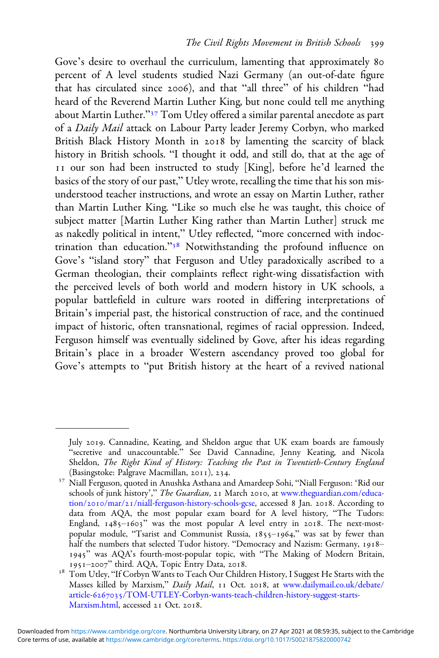Gove's desire to overhaul the curriculum, lamenting that approximately 80 percent of A level students studied Nazi Germany (an out-of-date figure that has circulated since 2006), and that "all three" of his children "had heard of the Reverend Martin Luther King, but none could tell me anything about Martin Luther."<sup>37</sup> Tom Utley offered a similar parental anecdote as part of a Daily Mail attack on Labour Party leader Jeremy Corbyn, who marked British Black History Month in 2018 by lamenting the scarcity of black history in British schools. "I thought it odd, and still do, that at the age of II our son had been instructed to study [King], before he'd learned the basics of the story of our past," Utley wrote, recalling the time that his son misunderstood teacher instructions, and wrote an essay on Martin Luther, rather than Martin Luther King. "Like so much else he was taught, this choice of subject matter [Martin Luther King rather than Martin Luther] struck me as nakedly political in intent," Utley reflected, "more concerned with indoctrination than education."<sup>38</sup> Notwithstanding the profound influence on Gove's "island story" that Ferguson and Utley paradoxically ascribed to a German theologian, their complaints reflect right-wing dissatisfaction with the perceived levels of both world and modern history in UK schools, a popular battlefield in culture wars rooted in differing interpretations of Britain's imperial past, the historical construction of race, and the continued impact of historic, often transnational, regimes of racial oppression. Indeed, Ferguson himself was eventually sidelined by Gove, after his ideas regarding Britain's place in a broader Western ascendancy proved too global for Gove's attempts to "put British history at the heart of a revived national

July 2019. Cannadine, Keating, and Sheldon argue that UK exam boards are famously "secretive and unaccountable." See David Cannadine, Jenny Keating, and Nicola Sheldon, The Right Kind of History: Teaching the Past in Twentieth-Century England (Basingstoke: Palgrave Macmillan, 2011), 234.

<sup>&</sup>lt;sup>37</sup> Niall Ferguson, quoted in Anushka Asthana and Amardeep Sohi, "Niall Ferguson: 'Rid our schools of junk history'," The Guardian, 21 March 2010, at [www.theguardian.com/educa-](https://www.theguardian.com/education/2010/mar/21/niall-ferguson-history-schools-gcse)tion/2010/mar/21[/niall-ferguson-history-schools-gcse](https://www.theguardian.com/education/2010/mar/21/niall-ferguson-history-schools-gcse), accessed 8 Jan. 2018. According to data from AQA, the most popular exam board for A level history, "The Tudors: England,  $1485 - 1603$ " was the most popular A level entry in 2018. The next-mostpopular module, "Tsarist and Communist Russia, 1855-1964," was sat by fewer than half the numbers that selected Tudor history. "Democracy and Nazism: Germany, 1918-1945" was AQA's fourth-most-popular topic, with "The Making of Modern Britain, 1951–2007" third. AQA, Topic Entry Data, 2018.

 $^{38}$ Tom Utley, "If Corbyn Wants to Teach Our Children History, I Suggest He Starts with the Masses killed by Marxism," Daily Mail, 11 Oct. 2018, at [www.dailymail.co.uk/debate/](https://www.dailymail.co.uk/debate/article-6267035/TOM-UTLEY-Corbyn-wants-teach-children-history-suggest-starts-Marxism.html) article-6267035[/TOM-UTLEY-Corbyn-wants-teach-children-history-suggest-starts-](https://www.dailymail.co.uk/debate/article-6267035/TOM-UTLEY-Corbyn-wants-teach-children-history-suggest-starts-Marxism.html)[Marxism.html](https://www.dailymail.co.uk/debate/article-6267035/TOM-UTLEY-Corbyn-wants-teach-children-history-suggest-starts-Marxism.html), accessed 21 Oct. 2018.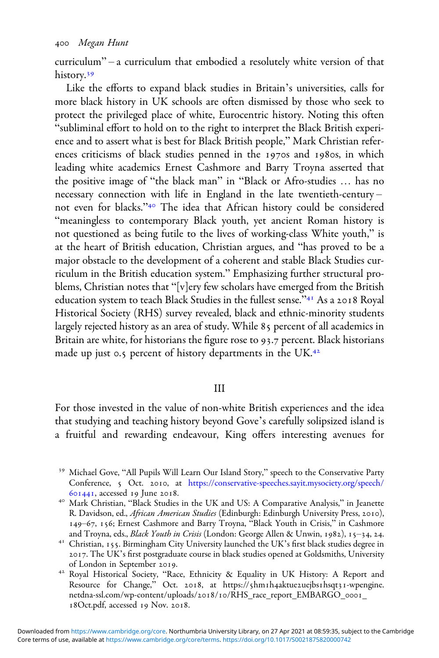curriculum" – a curriculum that embodied a resolutely white version of that history.<sup>39</sup>

Like the efforts to expand black studies in Britain's universities, calls for more black history in UK schools are often dismissed by those who seek to protect the privileged place of white, Eurocentric history. Noting this often "subliminal effort to hold on to the right to interpret the Black British experience and to assert what is best for Black British people," Mark Christian references criticisms of black studies penned in the 1970s and 1980s, in which leading white academics Ernest Cashmore and Barry Troyna asserted that the positive image of "the black man" in "Black or Afro-studies … has no necessary connection with life in England in the late twentieth-century – not even for blacks."<sup>40</sup> The idea that African history could be considered "meaningless to contemporary Black youth, yet ancient Roman history is not questioned as being futile to the lives of working-class White youth," is at the heart of British education, Christian argues, and "has proved to be a major obstacle to the development of a coherent and stable Black Studies curriculum in the British education system." Emphasizing further structural problems, Christian notes that "[v]ery few scholars have emerged from the British education system to teach Black Studies in the fullest sense."<sup>41</sup> As a 2018 Royal Historical Society (RHS) survey revealed, black and ethnic-minority students largely rejected history as an area of study. While 85 percent of all academics in Britain are white, for historians the figure rose to 93.7 percent. Black historians made up just 0.5 percent of history departments in the UK.<sup>42</sup>

### III

For those invested in the value of non-white British experiences and the idea that studying and teaching history beyond Gove's carefully solipsized island is a fruitful and rewarding endeavour, King offers interesting avenues for

- <sup>39</sup> Michael Gove, "All Pupils Will Learn Our Island Story," speech to the Conservative Party Conference, 5 Oct. 2010, at [https://conservative-speeches.sayit.mysociety.org/speech/](https://conservative-speeches.sayit.mysociety.org/speech/601441) 601441, accessed 19 June 2018.<br><sup>40</sup> Mark Christian, "Black Studies in the UK and US: A Comparative Analysis," in Jeanette
- R. Davidson, ed., African American Studies (Edinburgh: Edinburgh University Press, 2010), 149–67, 156; Ernest Cashmore and Barry Troyna, "Black Youth in Crisis," in Cashmore and Troyna, eds., *Black Youth in Crisis* (London: George Allen & Unwin, 1982), 15–34, 24.
- <sup>41</sup> Christian, 155. Birmingham City University launched the UK's first black studies degree in . The UK's first postgraduate course in black studies opened at Goldsmiths, University
- <sup>42</sup> Royal Historical Society, "Race, Ethnicity & Equality in UK History: A Report and Resource for Change," Oct. 2018, at https://5hm1h4aktue2uejbs1hsqt31-wpengine. netdna-ssl.com/wp-content/uploads/2018/10/RHS\_race\_report\_EMBARGO\_0001\_ 18Oct.pdf, accessed 19 Nov. 2018.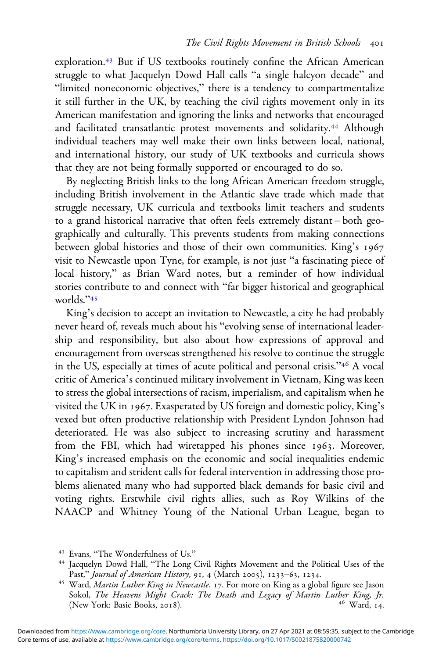exploration.<sup>43</sup> But if US textbooks routinely confine the African American struggle to what Jacquelyn Dowd Hall calls "a single halcyon decade" and "limited noneconomic objectives," there is a tendency to compartmentalize it still further in the UK, by teaching the civil rights movement only in its American manifestation and ignoring the links and networks that encouraged and facilitated transatlantic protest movements and solidarity.<sup>44</sup> Although individual teachers may well make their own links between local, national, and international history, our study of UK textbooks and curricula shows that they are not being formally supported or encouraged to do so.

By neglecting British links to the long African American freedom struggle, including British involvement in the Atlantic slave trade which made that struggle necessary, UK curricula and textbooks limit teachers and students to a grand historical narrative that often feels extremely distant – both geographically and culturally. This prevents students from making connections between global histories and those of their own communities. King's 1967 visit to Newcastle upon Tyne, for example, is not just "a fascinating piece of local history," as Brian Ward notes, but a reminder of how individual stories contribute to and connect with "far bigger historical and geographical worlds."<sup>45</sup>

King's decision to accept an invitation to Newcastle, a city he had probably never heard of, reveals much about his "evolving sense of international leadership and responsibility, but also about how expressions of approval and encouragement from overseas strengthened his resolve to continue the struggle in the US, especially at times of acute political and personal crisis."<sup>46</sup> A vocal critic of America's continued military involvement in Vietnam, King was keen to stress the global intersections of racism, imperialism, and capitalism when he visited the UK in 1967. Exasperated by US foreign and domestic policy, King's vexed but often productive relationship with President Lyndon Johnson had deteriorated. He was also subject to increasing scrutiny and harassment from the FBI, which had wiretapped his phones since 1963. Moreover, King's increased emphasis on the economic and social inequalities endemic to capitalism and strident calls for federal intervention in addressing those problems alienated many who had supported black demands for basic civil and voting rights. Erstwhile civil rights allies, such as Roy Wilkins of the NAACP and Whitney Young of the National Urban League, began to

<sup>&</sup>lt;sup>43</sup> Evans, "The Wonderfulness of Us."<br><sup>44</sup> Jacquelyn Dowd Hall, "The Long Civil Rights Movement and the Political Uses of the<br>Past," *Journal of American History*, 91, 4 (March 2005), 1233–63, 1234.

<sup>&</sup>lt;sup>45</sup> Ward, Martin Luther King in Newcastle, 17. For more on King as a global figure see Jason Sokol, *The Heavens Might Crack: The Death and Legacy of Martin Luther King, Jr.* (New York: Basic Books, 2018). (New York: Basic Books, 2018).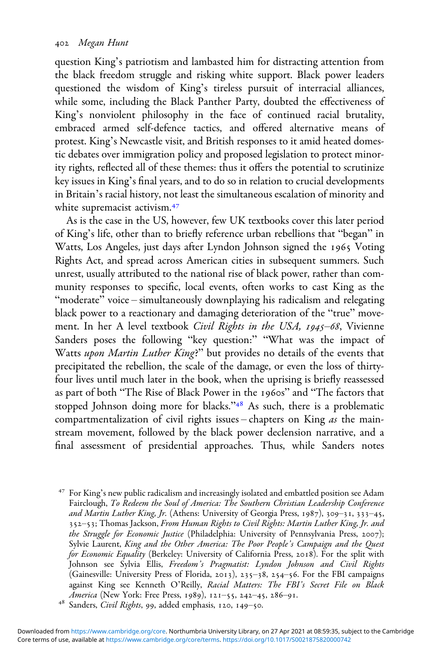question King's patriotism and lambasted him for distracting attention from the black freedom struggle and risking white support. Black power leaders questioned the wisdom of King's tireless pursuit of interracial alliances, while some, including the Black Panther Party, doubted the effectiveness of King's nonviolent philosophy in the face of continued racial brutality, embraced armed self-defence tactics, and offered alternative means of protest. King's Newcastle visit, and British responses to it amid heated domestic debates over immigration policy and proposed legislation to protect minority rights, reflected all of these themes: thus it offers the potential to scrutinize key issues in King's final years, and to do so in relation to crucial developments in Britain's racial history, not least the simultaneous escalation of minority and white supremacist activism.<sup>47</sup>

As is the case in the US, however, few UK textbooks cover this later period of King's life, other than to briefly reference urban rebellions that "began" in Watts, Los Angeles, just days after Lyndon Johnson signed the 1965 Voting Rights Act, and spread across American cities in subsequent summers. Such unrest, usually attributed to the national rise of black power, rather than community responses to specific, local events, often works to cast King as the "moderate" voice – simultaneously downplaying his radicalism and relegating black power to a reactionary and damaging deterioration of the "true" movement. In her A level textbook Civil Rights in the USA, 1945-68, Vivienne Sanders poses the following "key question:" "What was the impact of Watts upon Martin Luther King?" but provides no details of the events that precipitated the rebellion, the scale of the damage, or even the loss of thirtyfour lives until much later in the book, when the uprising is briefly reassessed as part of both "The Rise of Black Power in the 1960s" and "The factors that stopped Johnson doing more for blacks."<sup>48</sup> As such, there is a problematic compartmentalization of civil rights issues – chapters on King as the mainstream movement, followed by the black power declension narrative, and a final assessment of presidential approaches. Thus, while Sanders notes

 For King's new public radicalism and increasingly isolated and embattled position see Adam Fairclough, To Redeem the Soul of America: The Southern Christian Leadership Conference and Martin Luther King, Jr. (Athens: University of Georgia Press, 1987), 309-31, 333-45, 352-53; Thomas Jackson, From Human Rights to Civil Rights: Martin Luther King, Jr. and the Struggle for Economic Justice (Philadelphia: University of Pennsylvania Press, 2007); Sylvie Laurent, King and the Other America: The Poor People's Campaign and the Quest for Economic Equality (Berkeley: University of California Press, 2018). For the split with Johnson see Sylvia Ellis, Freedom's Pragmatist: Lyndon Johnson and Civil Rights (Gainesville: University Press of Florida, 2013), 235-38, 254-56. For the FBI campaigns against King see Kenneth O'Reilly, *Racial Matters: The FBI's Secret File on Black America* (New York: Free Press, 1989), 121–55, 242–45, 286–91.

<sup>&</sup>lt;sup>48</sup> Sanders, *Civil Rights*, 99, added emphasis, 120, 149-50.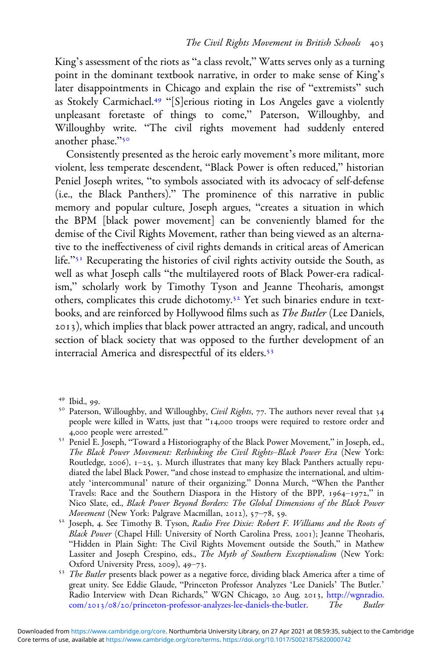King's assessment of the riots as "a class revolt," Watts serves only as a turning point in the dominant textbook narrative, in order to make sense of King's later disappointments in Chicago and explain the rise of "extremists" such as Stokely Carmichael.<sup>49</sup> "[S]erious rioting in Los Angeles gave a violently unpleasant foretaste of things to come," Paterson, Willoughby, and Willoughby write. "The civil rights movement had suddenly entered another phase."50

Consistently presented as the heroic early movement's more militant, more violent, less temperate descendent, "Black Power is often reduced," historian Peniel Joseph writes, "to symbols associated with its advocacy of self-defense (i.e., the Black Panthers)." The prominence of this narrative in public memory and popular culture, Joseph argues, "creates a situation in which the BPM [black power movement] can be conveniently blamed for the demise of the Civil Rights Movement, rather than being viewed as an alternative to the ineffectiveness of civil rights demands in critical areas of American life."<sup>51</sup> Recuperating the histories of civil rights activity outside the South, as well as what Joseph calls "the multilayered roots of Black Power-era radicalism," scholarly work by Timothy Tyson and Jeanne Theoharis, amongst others, complicates this crude dichotomy.<sup>52</sup> Yet such binaries endure in textbooks, and are reinforced by Hollywood films such as The Butler (Lee Daniels, ), which implies that black power attracted an angry, radical, and uncouth section of black society that was opposed to the further development of an interracial America and disrespectful of its elders.

<sup>&</sup>lt;sup>49</sup> Ibid., 99.<br><sup>50</sup> Paterson, Willoughby, and Willoughby, *Civil Rights*, 77. The authors never reveal that 34 people were killed in Watts, just that "14,000 troops were required to restore order and 4,000 people were arrested."

<sup>&</sup>lt;sup>51</sup> Peniel E. Joseph, "Toward a Historiography of the Black Power Movement," in Joseph, ed., The Black Power Movement: Rethinking the Civil Rights–Black Power Era (New York: Routledge, 2006),  $1-25$ , 3. Murch illustrates that many key Black Panthers actually repudiated the label Black Power, "and chose instead to emphasize the international, and ultimately 'intercommunal' nature of their organizing." Donna Murch, "When the Panther Travels: Race and the Southern Diaspora in the History of the BPP,  $1964-1972$ ," in Nico Slate, ed., *Black Power Beyond Borders: The Global Dimensions of the Black Power*<br>*Movement* (New York: Palgrave Macmillan, 2012), 57–78, 59.

 $52$  Joseph, 4. See Timothy B. Tyson, Radio Free Dixie: Robert F. Williams and the Roots of Black Power (Chapel Hill: University of North Carolina Press, 2001); Jeanne Theoharis, "Hidden in Plain Sight: The Civil Rights Movement outside the South," in Mathew Lassiter and Joseph Crespino, eds., *The Myth of Southern Exceptionalism* (New York: Oxford University Press, 2009), 49–73.

<sup>&</sup>lt;sup>53</sup> The Butler presents black power as a negative force, dividing black America after a time of great unity. See Eddie Glaude, "Princeton Professor Analyzes 'Lee Daniels' The Butler.' Radio Interview with Dean Richards," WGN Chicago, 20 Aug. 2013, [http://wgnradio.](https://wgnradio.com/2013/08/20/princeton-professor-analyzes-lee-daniels-the-butler) com/2013/08/20[/princeton-professor-analyzes-lee-daniels-the-butler.](https://wgnradio.com/2013/08/20/princeton-professor-analyzes-lee-daniels-the-butler) The Butler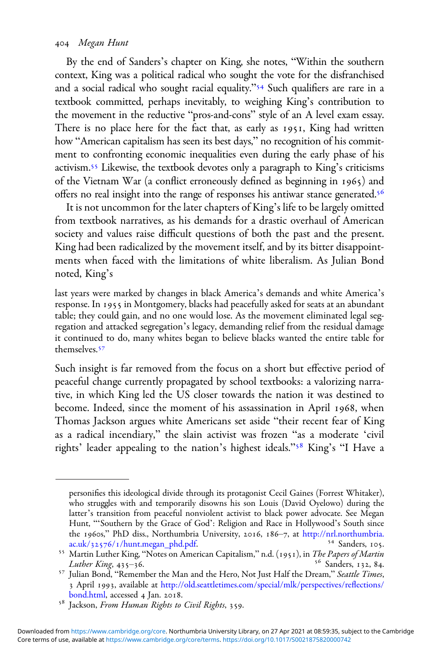### Megan Hunt

By the end of Sanders's chapter on King, she notes, "Within the southern context, King was a political radical who sought the vote for the disfranchised and a social radical who sought racial equality."<sup>54</sup> Such qualifiers are rare in a textbook committed, perhaps inevitably, to weighing King's contribution to the movement in the reductive "pros-and-cons" style of an A level exam essay. There is no place here for the fact that, as early as 1951, King had written how "American capitalism has seen its best days," no recognition of his commitment to confronting economic inequalities even during the early phase of his activism.<sup>55</sup> Likewise, the textbook devotes only a paragraph to King's criticisms of the Vietnam War (a conflict erroneously defined as beginning in 1965) and offers no real insight into the range of responses his antiwar stance generated.

It is not uncommon for the later chapters of King's life to be largely omitted from textbook narratives, as his demands for a drastic overhaul of American society and values raise difficult questions of both the past and the present. King had been radicalized by the movement itself, and by its bitter disappointments when faced with the limitations of white liberalism. As Julian Bond noted, King's

last years were marked by changes in black America's demands and white America's response. In 1955 in Montgomery, blacks had peacefully asked for seats at an abundant table; they could gain, and no one would lose. As the movement eliminated legal segregation and attacked segregation's legacy, demanding relief from the residual damage it continued to do, many whites began to believe blacks wanted the entire table for themselves.<sup>57</sup>

Such insight is far removed from the focus on a short but effective period of peaceful change currently propagated by school textbooks: a valorizing narrative, in which King led the US closer towards the nation it was destined to become. Indeed, since the moment of his assassination in April 1968, when Thomas Jackson argues white Americans set aside "their recent fear of King as a radical incendiary," the slain activist was frozen "as a moderate 'civil rights' leader appealing to the nation's highest ideals."<sup>58</sup> King's "I Have a

personifies this ideological divide through its protagonist Cecil Gaines (Forrest Whitaker), who struggles with and temporarily disowns his son Louis (David Oyelowo) during the latter's transition from peaceful nonviolent activist to black power advocate. See Megan Hunt, "'Southern by the Grace of God': Religion and Race in Hollywood's South since the 1960s," PhD diss., Northumbria University, 2016, 186–7, at [http://nrl.northumbria.](https://nrl.northumbria.ac.uk/32576/1/hunt.megan_phd.pdf)<br>ac.uk/32576/1/hunt.megan\_phd.pdf.  $^{54}$  Sanders, 105.

<sup>&</sup>lt;sup>55</sup> Martin Luther King, "Notes on American Capitalism," n.d. (1951), in *The Papers of Martin Luther King*, 435–36.

<sup>&</sup>lt;sup>57</sup> Julian Bond, "Remember the Man and the Hero, Not Just Half the Dream," Seattle Times, 3 April 1993, available at [http://old.seattletimes.com/special/mlk/perspectives/re](https://old.seattletimes.com/special/mlk/perspectives/reflections/bond.html)flections/<br>bond.html, accessed 4 Jan. 2018.

<sup>&</sup>lt;sup>58</sup> Jackson, From Human Rights to Civil Rights, 359.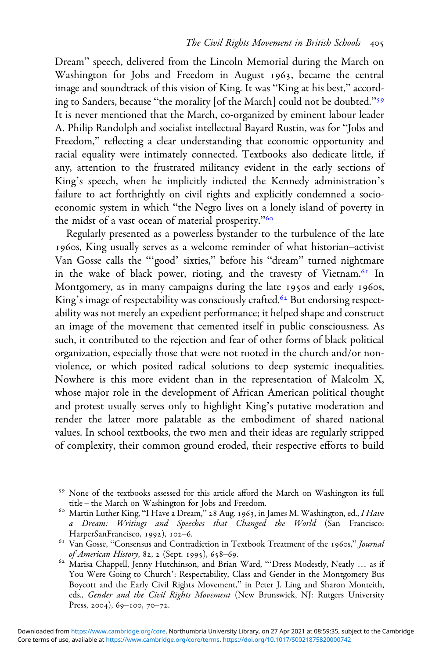Dream" speech, delivered from the Lincoln Memorial during the March on Washington for Jobs and Freedom in August 1963, became the central image and soundtrack of this vision of King. It was "King at his best," according to Sanders, because "the morality [of the March] could not be doubted."<sup>59</sup> It is never mentioned that the March, co-organized by eminent labour leader A. Philip Randolph and socialist intellectual Bayard Rustin, was for "Jobs and Freedom," reflecting a clear understanding that economic opportunity and racial equality were intimately connected. Textbooks also dedicate little, if any, attention to the frustrated militancy evident in the early sections of King's speech, when he implicitly indicted the Kennedy administration's failure to act forthrightly on civil rights and explicitly condemned a socioeconomic system in which "the Negro lives on a lonely island of poverty in the midst of a vast ocean of material prosperity."

Regularly presented as a powerless bystander to the turbulence of the late 1960s, King usually serves as a welcome reminder of what historian-activist Van Gosse calls the "'good' sixties," before his "dream" turned nightmare in the wake of black power, rioting, and the travesty of Vietnam.<sup>61</sup> In Montgomery, as in many campaigns during the late 1950s and early 1960s, King's image of respectability was consciously crafted.<sup>62</sup> But endorsing respectability was not merely an expedient performance; it helped shape and construct an image of the movement that cemented itself in public consciousness. As such, it contributed to the rejection and fear of other forms of black political organization, especially those that were not rooted in the church and/or nonviolence, or which posited radical solutions to deep systemic inequalities. Nowhere is this more evident than in the representation of Malcolm X, whose major role in the development of African American political thought and protest usually serves only to highlight King's putative moderation and render the latter more palatable as the embodiment of shared national values. In school textbooks, the two men and their ideas are regularly stripped of complexity, their common ground eroded, their respective efforts to build

<sup>&</sup>lt;sup>59</sup> None of the textbooks assessed for this article afford the March on Washington its full title – the March on Washington for Jobs and Freedom.

<sup>&</sup>lt;sup>60</sup> Martin Luther King, "I Have a Dream," 28 Aug. 1963, in James M. Washington, ed., I Have a Dream: Writings and Speeches that Changed the World (San Francisco: HarperSanFrancisco, 1992), 102–6.

<sup>&</sup>lt;sup>61</sup> Van Gosse, "Consensus and Contradiction in Textbook Treatment of the 1960s," Journal of American History, 82, 2 (Sept. 1995), 658–69.<br><sup>62</sup> Marisa Chappell, Jenny Hutchinson, and Brian Ward, "'Dress Modestly, Neatly ... as if

You Were Going to Church': Respectability, Class and Gender in the Montgomery Bus Boycott and the Early Civil Rights Movement," in Peter J. Ling and Sharon Monteith, eds., Gender and the Civil Rights Movement (New Brunswick, NJ: Rutgers University Press, 2004),  $69-100$ , 70-72.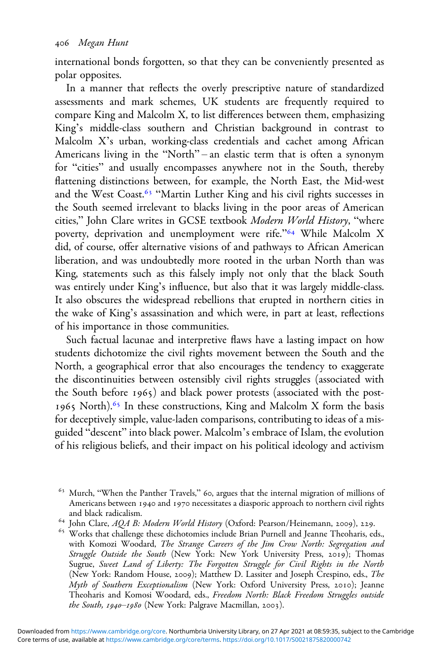international bonds forgotten, so that they can be conveniently presented as polar opposites.

In a manner that reflects the overly prescriptive nature of standardized assessments and mark schemes, UK students are frequently required to compare King and Malcolm X, to list differences between them, emphasizing King's middle-class southern and Christian background in contrast to Malcolm X's urban, working-class credentials and cachet among African Americans living in the "North" – an elastic term that is often a synonym for "cities" and usually encompasses anywhere not in the South, thereby flattening distinctions between, for example, the North East, the Mid-west and the West Coast.<sup>63</sup> "Martin Luther King and his civil rights successes in the South seemed irrelevant to blacks living in the poor areas of American cities," John Clare writes in GCSE textbook Modern World History, "where poverty, deprivation and unemployment were rife."<sup>64</sup> While Malcolm X did, of course, offer alternative visions of and pathways to African American liberation, and was undoubtedly more rooted in the urban North than was King, statements such as this falsely imply not only that the black South was entirely under King's influence, but also that it was largely middle-class. It also obscures the widespread rebellions that erupted in northern cities in the wake of King's assassination and which were, in part at least, reflections of his importance in those communities.

Such factual lacunae and interpretive flaws have a lasting impact on how students dichotomize the civil rights movement between the South and the North, a geographical error that also encourages the tendency to exaggerate the discontinuities between ostensibly civil rights struggles (associated with the South before 1965) and black power protests (associated with the post-1965 North).<sup>65</sup> In these constructions, King and Malcolm X form the basis for deceptively simple, value-laden comparisons, contributing to ideas of a misguided "descent" into black power. Malcolm's embrace of Islam, the evolution of his religious beliefs, and their impact on his political ideology and activism

 $63$  Murch, "When the Panther Travels," 60, argues that the internal migration of millions of Americans between 1940 and 1970 necessitates a diasporic approach to northern civil rights and black radicalism.<br>
<sup>64</sup> John Clare, AQA B: Modern World History (Oxford: Pearson/Heinemann, 2009), 229.<br>
<sup>65</sup> Works that challenge these dichotomies include Brian Purnell and Jeanne Theoharis, eds.,

with Komozi Woodard, The Strange Careers of the Jim Crow North: Segregation and Struggle Outside the South (New York: New York University Press, 2019); Thomas Sugrue, Sweet Land of Liberty: The Forgotten Struggle for Civil Rights in the North (New York: Random House, 2009); Matthew D. Lassiter and Joseph Crespino, eds., The Myth of Southern Exceptionalism (New York: Oxford University Press, 2010); Jeanne Theoharis and Komosi Woodard, eds., Freedom North: Black Freedom Struggles outside the South,  $1940 - 1980$  (New York: Palgrave Macmillan, 2003).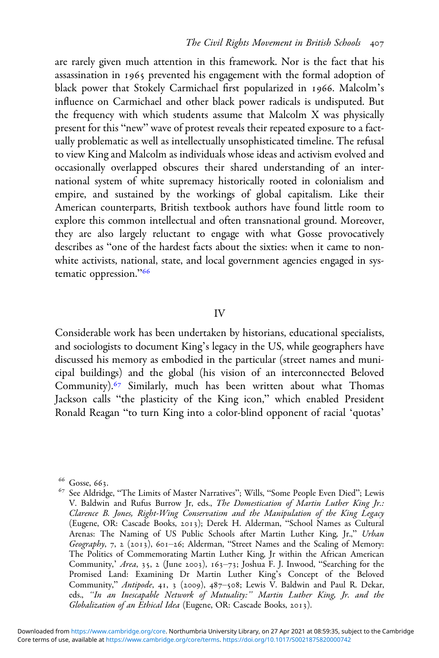are rarely given much attention in this framework. Nor is the fact that his assassination in 1965 prevented his engagement with the formal adoption of black power that Stokely Carmichael first popularized in 1966. Malcolm's influence on Carmichael and other black power radicals is undisputed. But the frequency with which students assume that Malcolm X was physically present for this "new" wave of protest reveals their repeated exposure to a factually problematic as well as intellectually unsophisticated timeline. The refusal to view King and Malcolm as individuals whose ideas and activism evolved and occasionally overlapped obscures their shared understanding of an international system of white supremacy historically rooted in colonialism and empire, and sustained by the workings of global capitalism. Like their American counterparts, British textbook authors have found little room to explore this common intellectual and often transnational ground. Moreover, they are also largely reluctant to engage with what Gosse provocatively describes as "one of the hardest facts about the sixties: when it came to nonwhite activists, national, state, and local government agencies engaged in systematic oppression."<sup>66</sup>

### IV

Considerable work has been undertaken by historians, educational specialists, and sociologists to document King's legacy in the US, while geographers have discussed his memory as embodied in the particular (street names and municipal buildings) and the global (his vision of an interconnected Beloved Community).<sup>67</sup> Similarly, much has been written about what Thomas Jackson calls "the plasticity of the King icon," which enabled President Ronald Reagan "to turn King into a color-blind opponent of racial 'quotas'

<sup>&</sup>lt;sup>66</sup> Gosse, 663.<br><sup>67</sup> See Aldridge, "The Limits of Master Narratives"; Wills, "Some People Even Died"; Lewis V. Baldwin and Rufus Burrow Jr, eds., The Domestication of Martin Luther King Jr.: Clarence B. Jones, Right-Wing Conservatism and the Manipulation of the King Legacy (Eugene, OR: Cascade Books, 2013); Derek H. Alderman, "School Names as Cultural Arenas: The Naming of US Public Schools after Martin Luther King, Jr.," Urban Geography, 7, 2 (2013), 601-26; Alderman, "Street Names and the Scaling of Memory: The Politics of Commemorating Martin Luther King, Jr within the African American Community,' Area, 35, 2 (June 2003),  $163-73$ ; Joshua F. J. Inwood, "Searching for the Promised Land: Examining Dr Martin Luther King's Concept of the Beloved Community," Antipode, 41, 3 (2009), 487-508; Lewis V. Baldwin and Paul R. Dekar, eds., "In an Inescapable Network of Mutuality:" Martin Luther King, Jr. and the Globalization of an Ethical Idea (Eugene, OR: Cascade Books, 2013).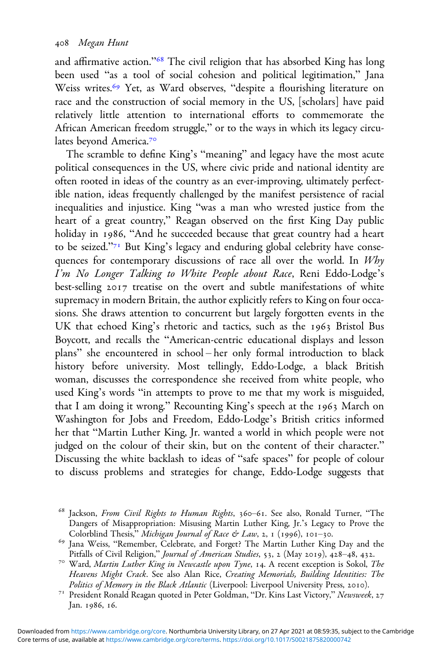and affirmative action."<sup>68</sup> The civil religion that has absorbed King has long been used "as a tool of social cohesion and political legitimation," Jana Weiss writes.<sup>69</sup> Yet, as Ward observes, "despite a flourishing literature on race and the construction of social memory in the US, [scholars] have paid relatively little attention to international efforts to commemorate the African American freedom struggle," or to the ways in which its legacy circulates beyond America.

The scramble to define King's "meaning" and legacy have the most acute political consequences in the US, where civic pride and national identity are often rooted in ideas of the country as an ever-improving, ultimately perfectible nation, ideas frequently challenged by the manifest persistence of racial inequalities and injustice. King "was a man who wrested justice from the heart of a great country," Reagan observed on the first King Day public holiday in 1986, "And he succeeded because that great country had a heart to be seized."<sup>71</sup> But King's legacy and enduring global celebrity have consequences for contemporary discussions of race all over the world. In Why I'm No Longer Talking to White People about Race, Reni Eddo-Lodge's best-selling 2017 treatise on the overt and subtle manifestations of white supremacy in modern Britain, the author explicitly refers to King on four occasions. She draws attention to concurrent but largely forgotten events in the UK that echoed King's rhetoric and tactics, such as the 1963 Bristol Bus Boycott, and recalls the "American-centric educational displays and lesson plans" she encountered in school – her only formal introduction to black history before university. Most tellingly, Eddo-Lodge, a black British woman, discusses the correspondence she received from white people, who used King's words "in attempts to prove to me that my work is misguided, that I am doing it wrong." Recounting King's speech at the 1963 March on Washington for Jobs and Freedom, Eddo-Lodge's British critics informed her that "Martin Luther King, Jr. wanted a world in which people were not judged on the colour of their skin, but on the content of their character." Discussing the white backlash to ideas of "safe spaces" for people of colour to discuss problems and strategies for change, Eddo-Lodge suggests that

 $68$  Jackson, From Civil Rights to Human Rights, 360-61. See also, Ronald Turner, "The Dangers of Misappropriation: Misusing Martin Luther King, Jr.'s Legacy to Prove the Colorblind Thesis," *Michigan Journal of Race & Law*, 2, 1 (1996), 101-30.

<sup>&</sup>lt;sup>69</sup> Jana Weiss, "Remember, Celebrate, and Forget? The Martin Luther King Day and the Pitfalls of Civil Religion," *Journal of American Studies*, 53, 2 (May 2019), 428–48, 432.

<sup>&</sup>lt;sup>70</sup> Ward, Martin Luther King in Newcastle upon Tyne, 14. A recent exception is Sokol, The Heavens Might Crack. See also Alan Rice, Creating Memorials, Building Identities: The Politics of Memory in the Black Atlantic (Liverpool: Liverpool University Press, 2010).

<sup>&</sup>lt;sup>71</sup> President Ronald Reagan quoted in Peter Goldman, "Dr. Kins Last Victory," Newsweek, 27 Jan. 1986, 16.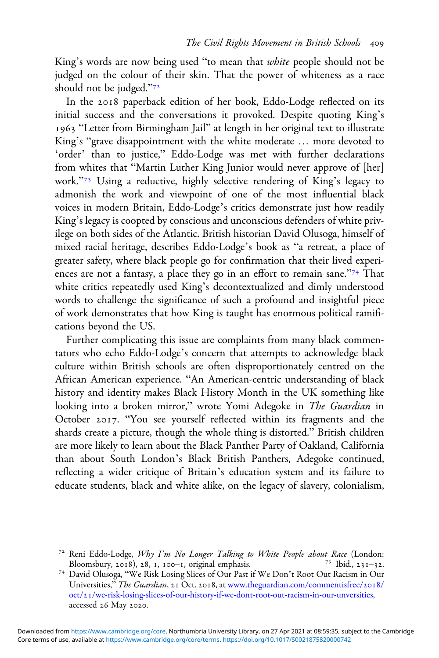King's words are now being used "to mean that *white* people should not be judged on the colour of their skin. That the power of whiteness as a race should not be judged."

In the 2018 paperback edition of her book, Eddo-Lodge reflected on its initial success and the conversations it provoked. Despite quoting King's 1963 "Letter from Birmingham Jail" at length in her original text to illustrate King's "grave disappointment with the white moderate … more devoted to 'order' than to justice," Eddo-Lodge was met with further declarations from whites that "Martin Luther King Junior would never approve of [her] work."<sup>73</sup> Using a reductive, highly selective rendering of King's legacy to admonish the work and viewpoint of one of the most influential black voices in modern Britain, Eddo-Lodge's critics demonstrate just how readily King's legacy is coopted by conscious and unconscious defenders of white privilege on both sides of the Atlantic. British historian David Olusoga, himself of mixed racial heritage, describes Eddo-Lodge's book as "a retreat, a place of greater safety, where black people go for confirmation that their lived experiences are not a fantasy, a place they go in an effort to remain sane."<sup>74</sup> That white critics repeatedly used King's decontextualized and dimly understood words to challenge the significance of such a profound and insightful piece of work demonstrates that how King is taught has enormous political ramifications beyond the US.

Further complicating this issue are complaints from many black commentators who echo Eddo-Lodge's concern that attempts to acknowledge black culture within British schools are often disproportionately centred on the African American experience. "An American-centric understanding of black history and identity makes Black History Month in the UK something like looking into a broken mirror," wrote Yomi Adegoke in The Guardian in October 2017. "You see yourself reflected within its fragments and the shards create a picture, though the whole thing is distorted." British children are more likely to learn about the Black Panther Party of Oakland, California than about South London's Black British Panthers, Adegoke continued, reflecting a wider critique of Britain's education system and its failure to educate students, black and white alike, on the legacy of slavery, colonialism,

<sup>&</sup>lt;sup>72</sup> Reni Eddo-Lodge, *Why I'm No Longer Talking to White People about Race* (London: Bloomsbury, 2018), 28, 1, 100–1, original emphasis.

<sup>&</sup>lt;sup>74</sup> David Olusoga, "We Risk Losing Slices of Our Past if We Don't Root Out Racism in Our Universities," The Guardian, 21 Oct. 2018, at [www.theguardian.com/commentisfree/](https://www.theguardian.com/commentisfree/2018/oct/21/we-risk-losing-slices-of-our-history-if-we-dont-root-out-racism-in-our-unversities)2018/ oct/[/we-risk-losing-slices-of-our-history-if-we-dont-root-out-racism-in-our-unversities](https://www.theguardian.com/commentisfree/2018/oct/21/we-risk-losing-slices-of-our-history-if-we-dont-root-out-racism-in-our-unversities), accessed 26 May 2020.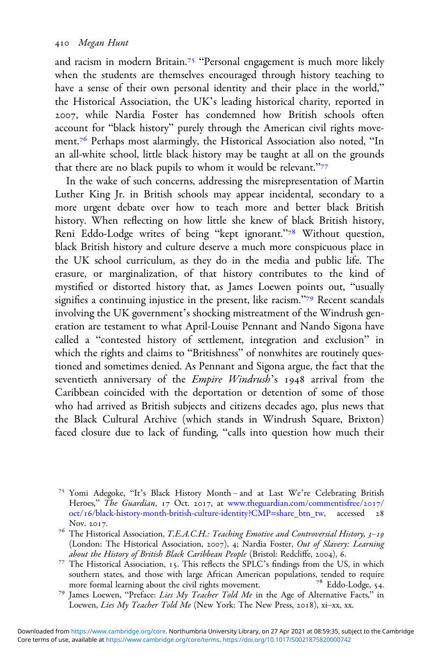and racism in modern Britain.<sup>75</sup> "Personal engagement is much more likely when the students are themselves encouraged through history teaching to have a sense of their own personal identity and their place in the world," the Historical Association, the UK's leading historical charity, reported in , while Nardia Foster has condemned how British schools often account for "black history" purely through the American civil rights movement.<sup>76</sup> Perhaps most alarmingly, the Historical Association also noted, "In an all-white school, little black history may be taught at all on the grounds that there are no black pupils to whom it would be relevant."

In the wake of such concerns, addressing the misrepresentation of Martin Luther King Jr. in British schools may appear incidental, secondary to a more urgent debate over how to teach more and better black British history. When reflecting on how little she knew of black British history, Reni Eddo-Lodge writes of being "kept ignorant."<sup>78</sup> Without question, black British history and culture deserve a much more conspicuous place in the UK school curriculum, as they do in the media and public life. The erasure, or marginalization, of that history contributes to the kind of mystified or distorted history that, as James Loewen points out, "usually signifies a continuing injustice in the present, like racism."<sup>79</sup> Recent scandals involving the UK government's shocking mistreatment of the Windrush generation are testament to what April-Louise Pennant and Nando Sigona have called a "contested history of settlement, integration and exclusion" in which the rights and claims to "Britishness" of nonwhites are routinely questioned and sometimes denied. As Pennant and Sigona argue, the fact that the seventieth anniversary of the *Empire Windrush's* 1948 arrival from the Caribbean coincided with the deportation or detention of some of those who had arrived as British subjects and citizens decades ago, plus news that the Black Cultural Archive (which stands in Windrush Square, Brixton) faced closure due to lack of funding, "calls into question how much their

<sup>&</sup>lt;sup>75</sup> Yomi Adegoke, "It's Black History Month – and at Last We're Celebrating British Heroes," The Guardian, 17 Oct. 2017, at [www.theguardian.com/commentisfree/](https://www.theguardian.com/commentisfree/2017/oct/16/black-history-month-british-culture-identity?CMP=share_btn_tw)2017/ oct/16[/black-history-month-british-culture-identity?CMP=share\\_btn\\_tw,](https://www.theguardian.com/commentisfree/2017/oct/16/black-history-month-british-culture-identity?CMP=share_btn_tw) accessed 28

Nov. 2017.<br><sup>76</sup> The Historical Association, *T.E.A.C.H.: Teaching Emotive and Controversial History*, *3–19* (London: The Historical Association, 2007), 4; Nardia Foster, Out of Slavery: Learning<br>about the History of British Black Caribbean People (Bristol: Redcliffe, 2004), 6.

<sup>&</sup>lt;sup>77</sup> The Historical Association, 15. This reflects the SPLC's findings from the US, in which southern states, and those with large African American populations, tended to require more formal learning about the civil rights movement. <sup>78</sup> Eddo-Lodge, 54.

<sup>&</sup>lt;sup>79</sup> James Loewen, "Preface: Lies My Teacher Told Me in the Age of Alternative Facts," in Loewen, Lies My Teacher Told Me (New York: The New Press, 2018), xi-xx, xx.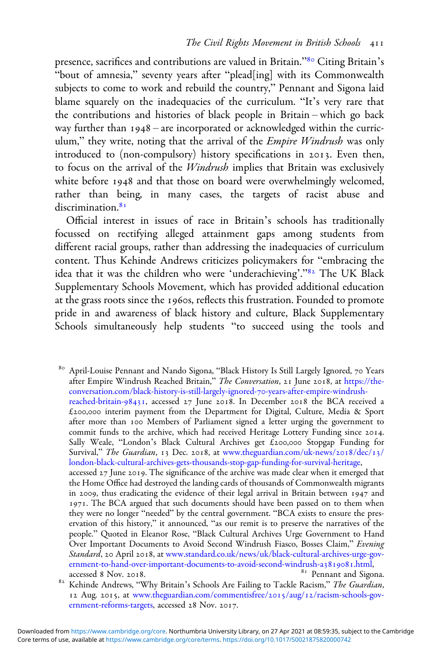presence, sacrifices and contributions are valued in Britain."<sup>80</sup> Citing Britain's "bout of amnesia," seventy years after "plead[ing] with its Commonwealth subjects to come to work and rebuild the country," Pennant and Sigona laid blame squarely on the inadequacies of the curriculum. "It's very rare that the contributions and histories of black people in Britain – which go back way further than  $1948$  – are incorporated or acknowledged within the curriculum," they write, noting that the arrival of the *Empire Windrush* was only introduced to (non-compulsory) history specifications in 2013. Even then, to focus on the arrival of the Windrush implies that Britain was exclusively white before 1948 and that those on board were overwhelmingly welcomed, rather than being, in many cases, the targets of racist abuse and discrimination.<sup>81</sup>

Official interest in issues of race in Britain's schools has traditionally focussed on rectifying alleged attainment gaps among students from different racial groups, rather than addressing the inadequacies of curriculum content. Thus Kehinde Andrews criticizes policymakers for "embracing the idea that it was the children who were 'underachieving'."<sup>82</sup> The UK Black Supplementary Schools Movement, which has provided additional education at the grass roots since the 1960s, reflects this frustration. Founded to promote pride in and awareness of black history and culture, Black Supplementary Schools simultaneously help students "to succeed using the tools and

80 April-Louise Pennant and Nando Sigona, "Black History Is Still Largely Ignored, 70 Years after Empire Windrush Reached Britain," The Conversation, 21 June 2018, at [https://the](https://theconversation.com/black-history-is-still-largely-ignored-70-years-after-empire-3windrush-reached-britain-98431)[conversation.com/black-history-is-still-largely-ignored-](https://theconversation.com/black-history-is-still-largely-ignored-70-years-after-empire-3windrush-reached-britain-98431)-years-after-empire-windrush[reached-britain-](https://theconversation.com/black-history-is-still-largely-ignored-70-years-after-empire-3windrush-reached-britain-98431)98431, accessed  $27$  June 2018. In December 2018 the BCA received a  $£200,000$  interim payment from the Department for Digital, Culture, Media & Sport after more than 100 Members of Parliament signed a letter urging the government to commit funds to the archive, which had received Heritage Lottery Funding since 2014. Sally Weale, "London's Black Cultural Archives get  $\tilde{E}$ 200,000 Stopgap Funding for Survival," The Guardian, 13 Dec. 2018, at [www.theguardian.com/uk-news/](https://www.theguardian.com/uk-news/2018/dec/13/london-black-cultural-archives-gets-thousands-stop-gap-funding-for-survival-heritage)2018/dec/13/ [london-black-cultural-archives-gets-thousands-stop-gap-funding-for-survival-heritage,](https://www.theguardian.com/uk-news/2018/dec/13/london-black-cultural-archives-gets-thousands-stop-gap-funding-for-survival-heritage) accessed  $27$  June  $2019$ . The significance of the archive was made clear when it emerged that the Home Office had destroyed the landing cards of thousands of Commonwealth migrants in 2009, thus eradicating the evidence of their legal arrival in Britain between  $1947$  and 1971. The BCA argued that such documents should have been passed on to them when they were no longer "needed" by the central government. "BCA exists to ensure the preservation of this history," it announced, "as our remit is to preserve the narratives of the people." Quoted in Eleanor Rose, "Black Cultural Archives Urge Government to Hand Over Important Documents to Avoid Second Windrush Fiasco, Bosses Claim," Evening Standard, 20 April 2018, at [www.standard.co.uk/news/uk/black-cultural-archives-urge-gov](https://www.standard.co.uk/news/uk/black-cultural-archives-urge-government-to-hand-over-important-documents-to-avoid-second-windrush-a3819081.html)[ernment-to-hand-over-important-documents-to-avoid-second-windrush-a](https://www.standard.co.uk/news/uk/black-cultural-archives-urge-government-to-hand-over-important-documents-to-avoid-second-windrush-a3819081.html)3819081.html, accessed 8 Nov. 2018.

 $82$  Kehinde Andrews, "Why Britain's Schools Are Failing to Tackle Racism," The Guardian, 12 Aug. 2015, at [www.theguardian.com/commentisfree/](https://www.theguardian.com/commentisfree/2015/aug/12/racism-schools-government-reforms-targets)2015/aug/12/racism-schools-gov[ernment-reforms-targets](https://www.theguardian.com/commentisfree/2015/aug/12/racism-schools-government-reforms-targets), accessed 28 Nov. 2017.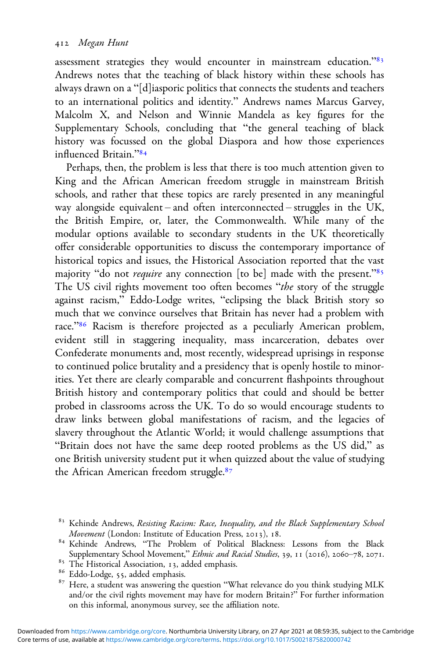assessment strategies they would encounter in mainstream education."<sup>83</sup> Andrews notes that the teaching of black history within these schools has always drawn on a "[d]iasporic politics that connects the students and teachers to an international politics and identity." Andrews names Marcus Garvey, Malcolm X, and Nelson and Winnie Mandela as key figures for the Supplementary Schools, concluding that "the general teaching of black history was focussed on the global Diaspora and how those experiences influenced Britain."

Perhaps, then, the problem is less that there is too much attention given to King and the African American freedom struggle in mainstream British schools, and rather that these topics are rarely presented in any meaningful way alongside equivalent – and often interconnected – struggles in the UK, the British Empire, or, later, the Commonwealth. While many of the modular options available to secondary students in the UK theoretically offer considerable opportunities to discuss the contemporary importance of historical topics and issues, the Historical Association reported that the vast majority "do not *require* any connection [to be] made with the present."<sup>85</sup> The US civil rights movement too often becomes "the story of the struggle against racism," Eddo-Lodge writes, "eclipsing the black British story so much that we convince ourselves that Britain has never had a problem with race."<sup>86</sup> Racism is therefore projected as a peculiarly American problem, evident still in staggering inequality, mass incarceration, debates over Confederate monuments and, most recently, widespread uprisings in response to continued police brutality and a presidency that is openly hostile to minorities. Yet there are clearly comparable and concurrent flashpoints throughout British history and contemporary politics that could and should be better probed in classrooms across the UK. To do so would encourage students to draw links between global manifestations of racism, and the legacies of slavery throughout the Atlantic World; it would challenge assumptions that "Britain does not have the same deep rooted problems as the US did," as one British university student put it when quizzed about the value of studying the African American freedom struggle.<sup>87</sup>

<sup>&</sup>lt;sup>83</sup> Kehinde Andrews, *Resisting Racism: Race, Inequality, and the Black Supplementary School Movement* (London: Institute of Education Press, 2013), 18.

<sup>84</sup> Kehinde Andrews, "The Problem of Political Blackness: Lessons from the Black

Supplementary School Movement," *Ethnic and Racial Studies*, 39, 11 (2016), 2060–78, 2071.<br>
<sup>85</sup> The Historical Association, 13, added emphasis.<br>
<sup>86</sup> Eddo-Lodge, 55, added emphasis.

<sup>&</sup>lt;sup>87</sup> Here, a student was answering the question "What relevance do you think studying MLK and/or the civil rights movement may have for modern Britain?" For further information on this informal, anonymous survey, see the affiliation note.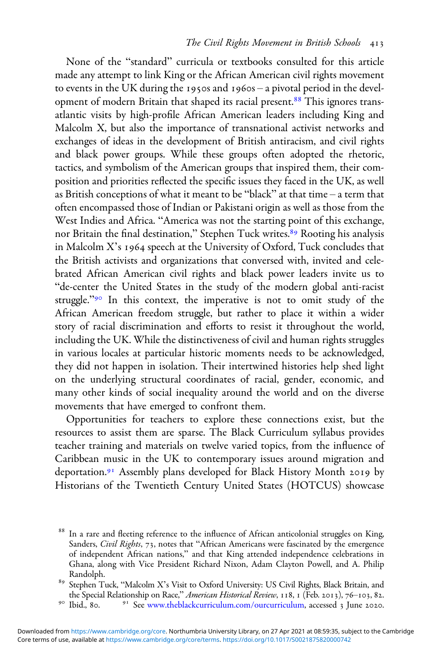None of the "standard" curricula or textbooks consulted for this article made any attempt to link King or the African American civil rights movement to events in the UK during the 1950s and 1960s – a pivotal period in the development of modern Britain that shaped its racial present.<sup>88</sup> This ignores transatlantic visits by high-profile African American leaders including King and Malcolm X, but also the importance of transnational activist networks and exchanges of ideas in the development of British antiracism, and civil rights and black power groups. While these groups often adopted the rhetoric, tactics, and symbolism of the American groups that inspired them, their composition and priorities reflected the specific issues they faced in the UK, as well as British conceptions of what it meant to be "black" at that time – a term that often encompassed those of Indian or Pakistani origin as well as those from the West Indies and Africa. "America was not the starting point of this exchange, nor Britain the final destination," Stephen Tuck writes.<sup>89</sup> Rooting his analysis in Malcolm  $X$ 's 1964 speech at the University of Oxford, Tuck concludes that the British activists and organizations that conversed with, invited and celebrated African American civil rights and black power leaders invite us to "de-center the United States in the study of the modern global anti-racist struggle."<sup>90</sup> In this context, the imperative is not to omit study of the African American freedom struggle, but rather to place it within a wider story of racial discrimination and efforts to resist it throughout the world, including the UK. While the distinctiveness of civil and human rights struggles in various locales at particular historic moments needs to be acknowledged, they did not happen in isolation. Their intertwined histories help shed light on the underlying structural coordinates of racial, gender, economic, and many other kinds of social inequality around the world and on the diverse movements that have emerged to confront them.

Opportunities for teachers to explore these connections exist, but the resources to assist them are sparse. The Black Curriculum syllabus provides teacher training and materials on twelve varied topics, from the influence of Caribbean music in the UK to contemporary issues around migration and deportation.<sup>91</sup> Assembly plans developed for Black History Month 2019 by Historians of the Twentieth Century United States (HOTCUS) showcase

<sup>&</sup>lt;sup>88</sup> In a rare and fleeting reference to the influence of African anticolonial struggles on King, Sanders, Civil Rights, 73, notes that "African Americans were fascinated by the emergence of independent African nations," and that King attended independence celebrations in Ghana, along with Vice President Richard Nixon, Adam Clayton Powell, and A. Philip Randolph.

 $89$  Stephen Tuck, "Malcolm X's Visit to Oxford University: US Civil Rights, Black Britain, and the Special Relationship on Race," American Historical Review, 118, 1 (Feb. 2013), 76–103, 82.<br><sup>90</sup> Ibid., 80. <sup>91</sup> See [www.theblackcurriculum.com/ourcurriculum,](https://www.theblackcurriculum.com/ourcurriculum) accessed 3 June 2020.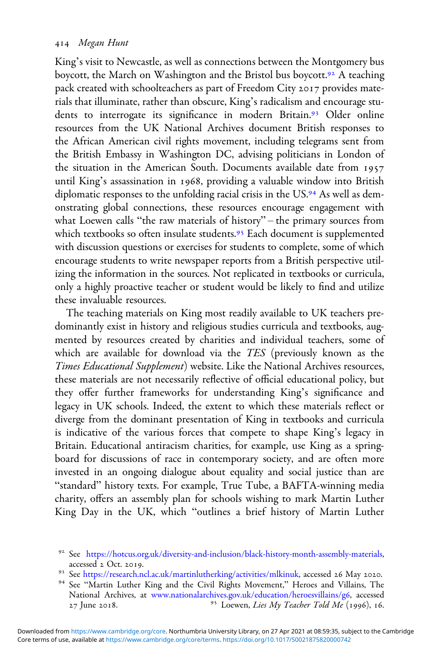King's visit to Newcastle, as well as connections between the Montgomery bus boycott, the March on Washington and the Bristol bus boycott.<sup>92</sup> A teaching pack created with schoolteachers as part of Freedom City 2017 provides materials that illuminate, rather than obscure, King's radicalism and encourage students to interrogate its significance in modern Britain.<sup>93</sup> Older online resources from the UK National Archives document British responses to the African American civil rights movement, including telegrams sent from the British Embassy in Washington DC, advising politicians in London of the situation in the American South. Documents available date from until King's assassination in 1968, providing a valuable window into British diplomatic responses to the unfolding racial crisis in the US.<sup>94</sup> As well as demonstrating global connections, these resources encourage engagement with what Loewen calls "the raw materials of history" – the primary sources from which textbooks so often insulate students.<sup>95</sup> Each document is supplemented with discussion questions or exercises for students to complete, some of which encourage students to write newspaper reports from a British perspective utilizing the information in the sources. Not replicated in textbooks or curricula, only a highly proactive teacher or student would be likely to find and utilize these invaluable resources.

The teaching materials on King most readily available to UK teachers predominantly exist in history and religious studies curricula and textbooks, augmented by resources created by charities and individual teachers, some of which are available for download via the TES (previously known as the Times Educational Supplement) website. Like the National Archives resources, these materials are not necessarily reflective of official educational policy, but they offer further frameworks for understanding King's significance and legacy in UK schools. Indeed, the extent to which these materials reflect or diverge from the dominant presentation of King in textbooks and curricula is indicative of the various forces that compete to shape King's legacy in Britain. Educational antiracism charities, for example, use King as a springboard for discussions of race in contemporary society, and are often more invested in an ongoing dialogue about equality and social justice than are "standard" history texts. For example, True Tube, a BAFTA-winning media charity, offers an assembly plan for schools wishing to mark Martin Luther King Day in the UK, which "outlines a brief history of Martin Luther

<sup>&</sup>lt;sup>92</sup> See <https://hotcus.org.uk/diversity-and-inclusion/black-history-month-assembly-materials>, accessed 2 Oct. 2019.

<sup>&</sup>lt;sup>93</sup> See <https://research.ncl.ac.uk/martinlutherking/activities/mlkinuk>, accessed 26 May 2020.<br><sup>94</sup> See "Martin Luther King and the Civil Rights Movement," Heroes and Villains, The

National Archives, at [www.nationalarchives.gov.uk/education/heroesvillains/g](https://www.nationalarchives.gov.uk/education/heroesvillains/g6)6, accessed  $27$  June 2018.  $35$  Loewen, Lies My Teacher Told Me (1996), 16.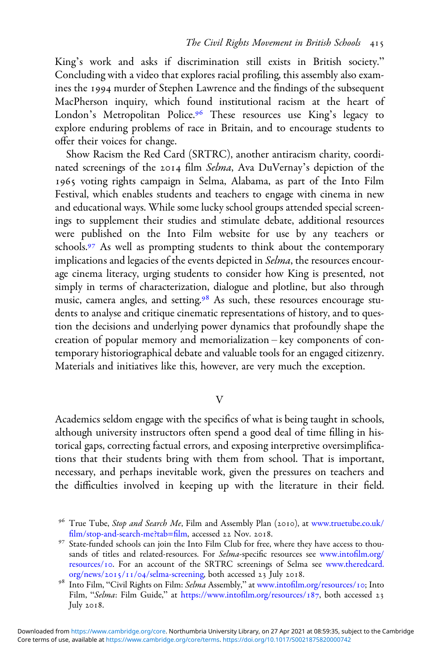King's work and asks if discrimination still exists in British society." Concluding with a video that explores racial profiling, this assembly also examines the 1994 murder of Stephen Lawrence and the findings of the subsequent MacPherson inquiry, which found institutional racism at the heart of London's Metropolitan Police.<sup>96</sup> These resources use King's legacy to explore enduring problems of race in Britain, and to encourage students to offer their voices for change.

Show Racism the Red Card (SRTRC), another antiracism charity, coordinated screenings of the 2014 film Selma, Ava DuVernay's depiction of the 1965 voting rights campaign in Selma, Alabama, as part of the Into Film Festival, which enables students and teachers to engage with cinema in new and educational ways. While some lucky school groups attended special screenings to supplement their studies and stimulate debate, additional resources were published on the Into Film website for use by any teachers or schools.<sup>97</sup> As well as prompting students to think about the contemporary implications and legacies of the events depicted in Selma, the resources encourage cinema literacy, urging students to consider how King is presented, not simply in terms of characterization, dialogue and plotline, but also through music, camera angles, and setting.<sup>98</sup> As such, these resources encourage students to analyse and critique cinematic representations of history, and to question the decisions and underlying power dynamics that profoundly shape the creation of popular memory and memorialization – key components of contemporary historiographical debate and valuable tools for an engaged citizenry. Materials and initiatives like this, however, are very much the exception.

#### $\overline{V}$

Academics seldom engage with the specifics of what is being taught in schools, although university instructors often spend a good deal of time filling in historical gaps, correcting factual errors, and exposing interpretive oversimplifications that their students bring with them from school. That is important, necessary, and perhaps inevitable work, given the pressures on teachers and the difficulties involved in keeping up with the literature in their field.

<sup>&</sup>lt;sup>96</sup> True Tube, *Stop and Search Me*, Film and Assembly Plan (2010), at [www.truetube.co.uk/](https://www.truetube.co.uk/film/stop-and-search-me?tab=film)<br>film/stop-and-search-me?tab=film, accessed 22 Nov. 2018.

<sup>&</sup>lt;sup>97</sup> State-funded schools can join the Into Film Club for free, where they have access to thousands of titles and related-resources. For Selma-specific resources see [www.into](https://www.intofilm.org/resources/10)film.org/ [resources/](https://www.intofilm.org/resources/10)10. For an account of the SRTRC screenings of Selma see [www.theredcard.](https://www.theredcard.org/news/2015/11/04/selma-screening)<br>org/news/2015/11/04/selma-screening, both accessed 23 July 2018.

<sup>&</sup>lt;sup>98</sup> Into Film, "Civil Rights on Film: Selma Assembly," at www.intofi[lm.org/resources/](https://www.intofilm.org/resources/10)10; Into Film, "Selma: Film Guide," at [https://](https://www.intofilm.org/resources/187)www.intofi[lm.org/resources/](https://www.intofilm.org/resources/187)187, both accessed 23 July  $2018$ .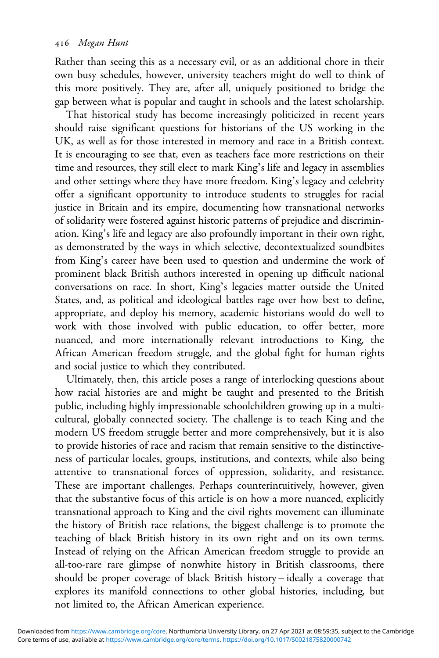Rather than seeing this as a necessary evil, or as an additional chore in their own busy schedules, however, university teachers might do well to think of this more positively. They are, after all, uniquely positioned to bridge the gap between what is popular and taught in schools and the latest scholarship.

That historical study has become increasingly politicized in recent years should raise significant questions for historians of the US working in the UK, as well as for those interested in memory and race in a British context. It is encouraging to see that, even as teachers face more restrictions on their time and resources, they still elect to mark King's life and legacy in assemblies and other settings where they have more freedom. King's legacy and celebrity offer a significant opportunity to introduce students to struggles for racial justice in Britain and its empire, documenting how transnational networks of solidarity were fostered against historic patterns of prejudice and discrimination. King's life and legacy are also profoundly important in their own right, as demonstrated by the ways in which selective, decontextualized soundbites from King's career have been used to question and undermine the work of prominent black British authors interested in opening up difficult national conversations on race. In short, King's legacies matter outside the United States, and, as political and ideological battles rage over how best to define, appropriate, and deploy his memory, academic historians would do well to work with those involved with public education, to offer better, more nuanced, and more internationally relevant introductions to King, the African American freedom struggle, and the global fight for human rights and social justice to which they contributed.

Ultimately, then, this article poses a range of interlocking questions about how racial histories are and might be taught and presented to the British public, including highly impressionable schoolchildren growing up in a multicultural, globally connected society. The challenge is to teach King and the modern US freedom struggle better and more comprehensively, but it is also to provide histories of race and racism that remain sensitive to the distinctiveness of particular locales, groups, institutions, and contexts, while also being attentive to transnational forces of oppression, solidarity, and resistance. These are important challenges. Perhaps counterintuitively, however, given that the substantive focus of this article is on how a more nuanced, explicitly transnational approach to King and the civil rights movement can illuminate the history of British race relations, the biggest challenge is to promote the teaching of black British history in its own right and on its own terms. Instead of relying on the African American freedom struggle to provide an all-too-rare rare glimpse of nonwhite history in British classrooms, there should be proper coverage of black British history – ideally a coverage that explores its manifold connections to other global histories, including, but not limited to, the African American experience.